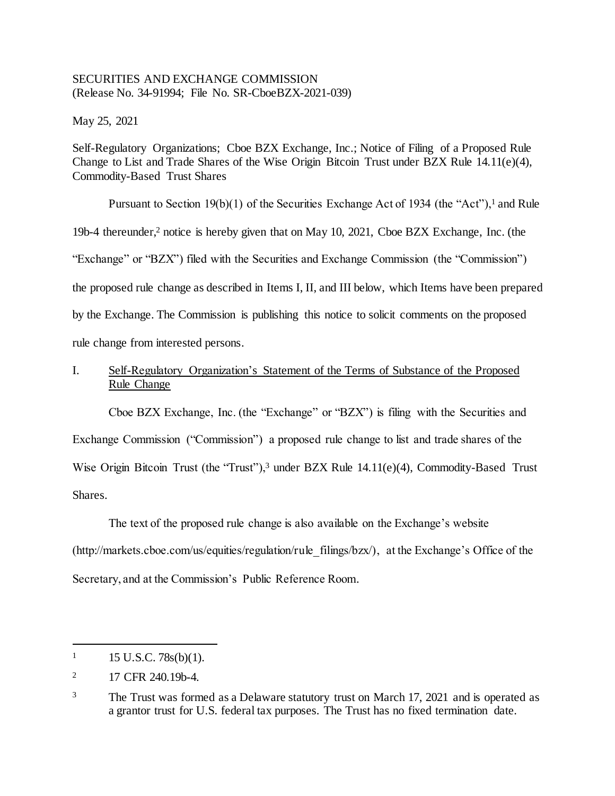## SECURITIES AND EXCHANGE COMMISSION (Release No. 34-91994; File No. SR-CboeBZX-2021-039)

May 25, 2021

Self-Regulatory Organizations; Cboe BZX Exchange, Inc.; Notice of Filing of a Proposed Rule Change to List and Trade Shares of the Wise Origin Bitcoin Trust under BZX Rule 14.11(e)(4), Commodity-Based Trust Shares

Pursuant to Section 19(b)(1) of the Securities Exchange Act of 1934 (the "Act"),<sup>1</sup> and Rule 19b-4 thereunder,<sup>2</sup> notice is hereby given that on May 10, 2021, Cboe BZX Exchange, Inc. (the "Exchange" or "BZX") filed with the Securities and Exchange Commission (the "Commission") the proposed rule change as described in Items I, II, and III below, which Items have been prepared by the Exchange. The Commission is publishing this notice to solicit comments on the proposed rule change from interested persons.

# I. Self-Regulatory Organization's Statement of the Terms of Substance of the Proposed Rule Change

Cboe BZX Exchange, Inc. (the "Exchange" or "BZX") is filing with the Securities and Exchange Commission ("Commission") a proposed rule change to list and trade shares of the Wise Origin Bitcoin Trust (the "Trust"),<sup>3</sup> under BZX Rule 14.11(e)(4), Commodity-Based Trust Shares.

The text of the proposed rule change is also available on the Exchange's website (http://markets.cboe.com/us/equities/regulation/rule\_filings/bzx/), at the Exchange's Office of the Secretary, and at the Commission's Public Reference Room.

 $1 \qquad 15 \text{ U.S.C. } 78 \text{s(b)}(1).$ 

<sup>&</sup>lt;sup>2</sup> 17 CFR 240.19b-4.

<sup>&</sup>lt;sup>3</sup> The Trust was formed as a Delaware statutory trust on March 17, 2021 and is operated as a grantor trust for U.S. federal tax purposes. The Trust has no fixed termination date.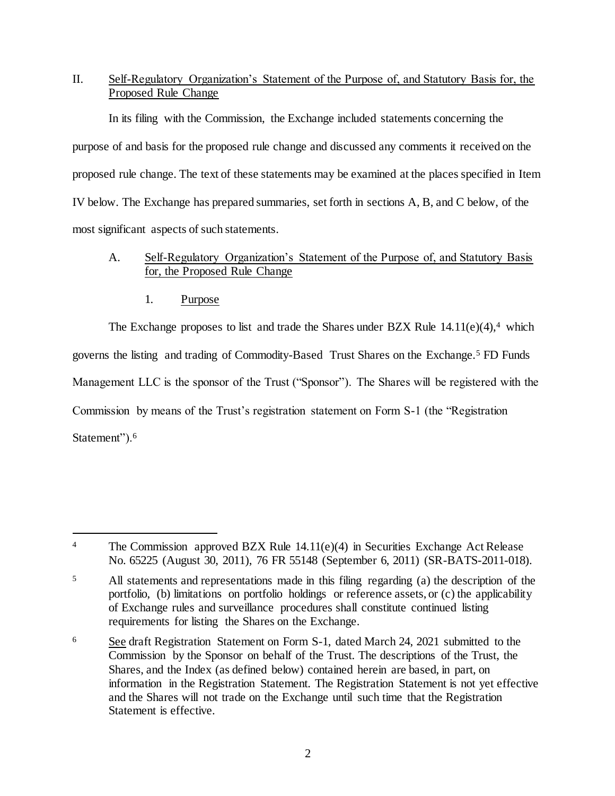# II. Self-Regulatory Organization's Statement of the Purpose of, and Statutory Basis for, the Proposed Rule Change

In its filing with the Commission, the Exchange included statements concerning the purpose of and basis for the proposed rule change and discussed any comments it received on the proposed rule change. The text of these statements may be examined at the places specified in Item IV below. The Exchange has prepared summaries, set forth in sections A, B, and C below, of the most significant aspects of such statements.

# A. Self-Regulatory Organization's Statement of the Purpose of, and Statutory Basis for, the Proposed Rule Change

1. Purpose

The Exchange proposes to list and trade the Shares under BZX Rule  $14.11(e)(4)$ ,<sup>4</sup> which governs the listing and trading of Commodity-Based Trust Shares on the Exchange.<sup>5</sup> FD Funds Management LLC is the sponsor of the Trust ("Sponsor"). The Shares will be registered with the Commission by means of the Trust's registration statement on Form S-1 (the "Registration Statement").<sup>6</sup>

l <sup>4</sup> The Commission approved BZX Rule 14.11(e)(4) in Securities Exchange Act Release No. 65225 (August 30, 2011), 76 FR 55148 (September 6, 2011) (SR-BATS-2011-018).

<sup>5</sup> All statements and representations made in this filing regarding (a) the description of the portfolio, (b) limitations on portfolio holdings or reference assets, or (c) the applicability of Exchange rules and surveillance procedures shall constitute continued listing requirements for listing the Shares on the Exchange.

<sup>&</sup>lt;sup>6</sup> See draft Registration Statement on Form S-1, dated March 24, 2021 submitted to the Commission by the Sponsor on behalf of the Trust. The descriptions of the Trust, the Shares, and the Index (as defined below) contained herein are based, in part, on information in the Registration Statement. The Registration Statement is not yet effective and the Shares will not trade on the Exchange until such time that the Registration Statement is effective.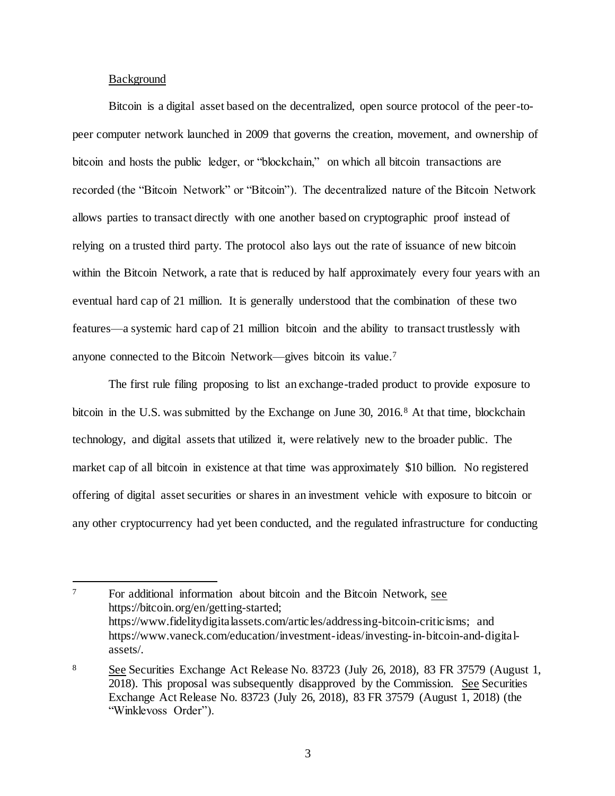#### Background

l

Bitcoin is a digital asset based on the decentralized, open source protocol of the peer-topeer computer network launched in 2009 that governs the creation, movement, and ownership of bitcoin and hosts the public ledger, or "blockchain," on which all bitcoin transactions are recorded (the "Bitcoin Network" or "Bitcoin"). The decentralized nature of the Bitcoin Network allows parties to transact directly with one another based on cryptographic proof instead of relying on a trusted third party. The protocol also lays out the rate of issuance of new bitcoin within the Bitcoin Network, a rate that is reduced by half approximately every four years with an eventual hard cap of 21 million. It is generally understood that the combination of these two features—a systemic hard cap of 21 million bitcoin and the ability to transact trustlessly with anyone connected to the Bitcoin Network—gives bitcoin its value.<sup>7</sup>

The first rule filing proposing to list an exchange-traded product to provide exposure to bitcoin in the U.S. was submitted by the Exchange on June 30, 2016.<sup>8</sup> At that time, blockchain technology, and digital assets that utilized it, were relatively new to the broader public. The market cap of all bitcoin in existence at that time was approximately \$10 billion. No registered offering of digital asset securities or shares in an investment vehicle with exposure to bitcoin or any other cryptocurrency had yet been conducted, and the regulated infrastructure for conducting

<sup>7</sup> For additional information about bitcoin and the Bitcoin Network, see https://bitcoin.org/en/getting-started; https://www.fidelitydigitalassets.com/articles/addressing-bitcoin-criticisms; and https://www.vaneck.com/education/investment-ideas/investing-in-bitcoin-and-digitalassets/.

<sup>8</sup> See Securities Exchange Act Release No. 83723 (July 26, 2018), 83 FR 37579 (August 1, 2018). This proposal was subsequently disapproved by the Commission. See Securities Exchange Act Release No. 83723 (July 26, 2018), 83 FR 37579 (August 1, 2018) (the "Winklevoss Order").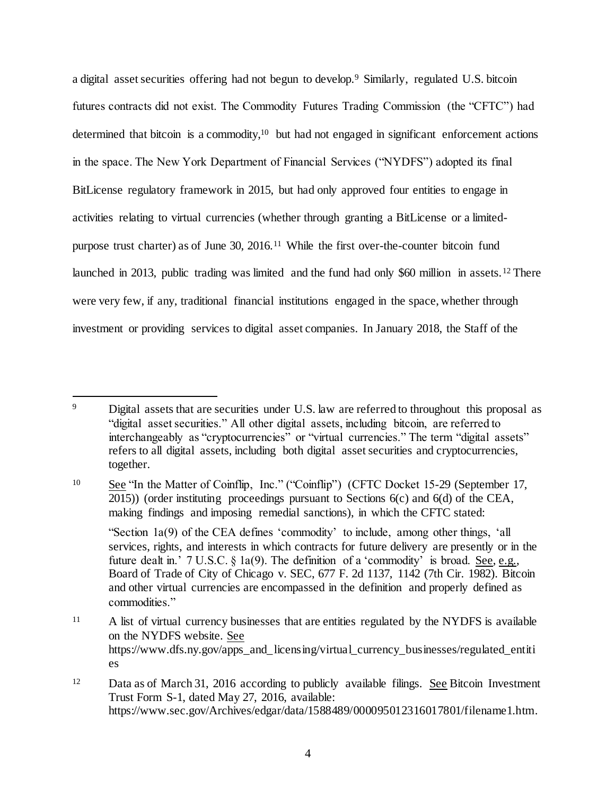a digital asset securities offering had not begun to develop.<sup>9</sup> Similarly, regulated U.S. bitcoin futures contracts did not exist. The Commodity Futures Trading Commission (the "CFTC") had determined that bitcoin is a commodity,<sup>10</sup> but had not engaged in significant enforcement actions in the space. The New York Department of Financial Services ("NYDFS") adopted its final BitLicense regulatory framework in 2015, but had only approved four entities to engage in activities relating to virtual currencies (whether through granting a BitLicense or a limitedpurpose trust charter) as of June 30, 2016.<sup>11</sup> While the first over-the-counter bitcoin fund launched in 2013, public trading was limited and the fund had only \$60 million in assets.<sup>12</sup> There were very few, if any, traditional financial institutions engaged in the space, whether through investment or providing services to digital asset companies. In January 2018, the Staff of the

l

<sup>10</sup> See "In the Matter of Coinflip, Inc." ("Coinflip") (CFTC Docket 15-29 (September 17, 2015)) (order instituting proceedings pursuant to Sections 6(c) and 6(d) of the CEA, making findings and imposing remedial sanctions), in which the CFTC stated:

"Section 1a(9) of the CEA defines 'commodity' to include, among other things, 'all services, rights, and interests in which contracts for future delivery are presently or in the future dealt in.' 7 U.S.C. § 1a(9). The definition of a 'commodity' is broad. See, e.g., Board of Trade of City of Chicago v. SEC, 677 F. 2d 1137, 1142 (7th Cir. 1982). Bitcoin and other virtual currencies are encompassed in the definition and properly defined as commodities."

<sup>11</sup> A list of virtual currency businesses that are entities regulated by the NYDFS is available on the NYDFS website. See https://www.dfs.ny.gov/apps\_and\_licensing/virtual\_currency\_businesses/regulated\_entiti es

<sup>&</sup>lt;sup>9</sup> Digital assets that are securities under U.S. law are referred to throughout this proposal as "digital asset securities." All other digital assets, including bitcoin, are referred to interchangeably as "cryptocurrencies" or "virtual currencies." The term "digital assets" refers to all digital assets, including both digital asset securities and cryptocurrencies, together.

<sup>&</sup>lt;sup>12</sup> Data as of March 31, 2016 according to publicly available filings. See Bitcoin Investment Trust Form S-1, dated May 27, 2016, available: https://www.sec.gov/Archives/edgar/data/1588489/000095012316017801/filename1.htm.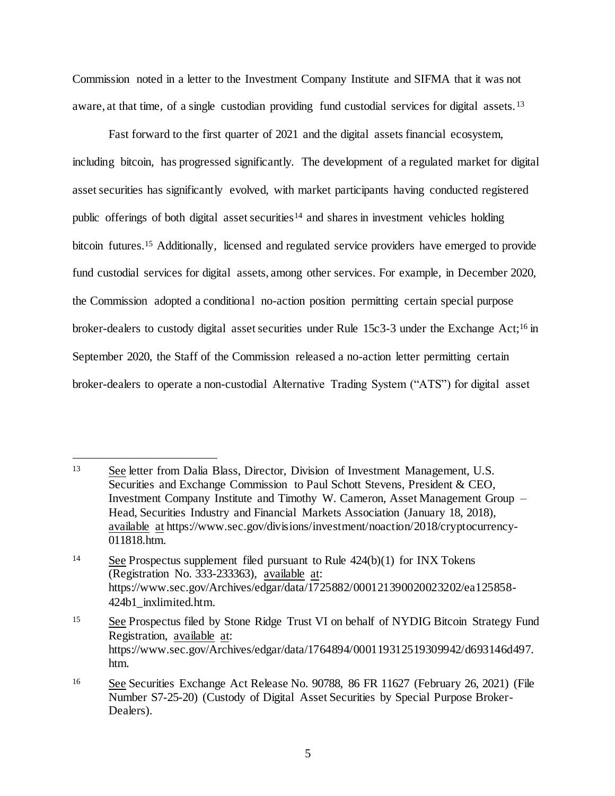Commission noted in a letter to the Investment Company Institute and SIFMA that it was not aware, at that time, of a single custodian providing fund custodial services for digital assets.<sup>13</sup>

Fast forward to the first quarter of 2021 and the digital assets financial ecosystem, including bitcoin, has progressed significantly. The development of a regulated market for digital asset securities has significantly evolved, with market participants having conducted registered public offerings of both digital asset securities<sup>14</sup> and shares in investment vehicles holding bitcoin futures.<sup>15</sup> Additionally, licensed and regulated service providers have emerged to provide fund custodial services for digital assets, among other services. For example, in December 2020, the Commission adopted a conditional no-action position permitting certain special purpose broker-dealers to custody digital asset securities under Rule 15c3-3 under the Exchange Act;<sup>16</sup> in September 2020, the Staff of the Commission released a no-action letter permitting certain broker-dealers to operate a non-custodial Alternative Trading System ("ATS") for digital asset

j

<sup>13</sup> See letter from Dalia Blass, Director, Division of Investment Management, U.S. Securities and Exchange Commission to Paul Schott Stevens, President & CEO, Investment Company Institute and Timothy W. Cameron, Asset Management Group – Head, Securities Industry and Financial Markets Association (January 18, 2018), available at https://www.sec.gov/divisions/investment/noaction/2018/cryptocurrency-011818.htm.

<sup>&</sup>lt;sup>14</sup> See Prospectus supplement filed pursuant to Rule 424(b)(1) for INX Tokens (Registration No. 333-233363), available at: https://www.sec.gov/Archives/edgar/data/1725882/000121390020023202/ea125858- 424b1\_inxlimited.htm.

<sup>&</sup>lt;sup>15</sup> See Prospectus filed by Stone Ridge Trust VI on behalf of NYDIG Bitcoin Strategy Fund Registration, available at: https://www.sec.gov/Archives/edgar/data/1764894/000119312519309942/d693146d497. htm.

<sup>&</sup>lt;sup>16</sup> See Securities Exchange Act Release No. 90788, 86 FR 11627 (February 26, 2021) (File Number S7-25-20) (Custody of Digital Asset Securities by Special Purpose Broker-Dealers).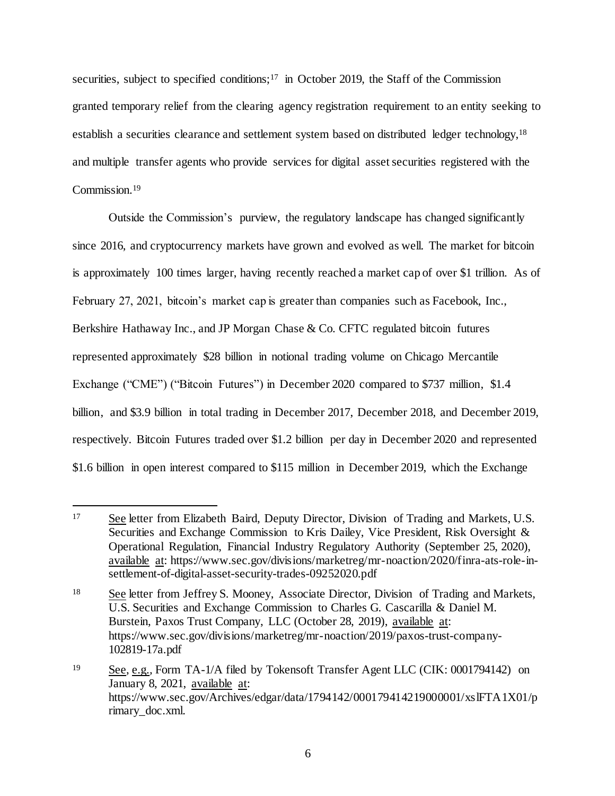securities, subject to specified conditions;<sup>17</sup> in October 2019, the Staff of the Commission granted temporary relief from the clearing agency registration requirement to an entity seeking to establish a securities clearance and settlement system based on distributed ledger technology,<sup>18</sup> and multiple transfer agents who provide services for digital asset securities registered with the Commission.<sup>19</sup>

Outside the Commission's purview, the regulatory landscape has changed significantly since 2016, and cryptocurrency markets have grown and evolved as well. The market for bitcoin is approximately 100 times larger, having recently reached a market cap of over \$1 trillion. As of February 27, 2021, bitcoin's market cap is greater than companies such as Facebook, Inc., Berkshire Hathaway Inc., and JP Morgan Chase & Co. CFTC regulated bitcoin futures represented approximately \$28 billion in notional trading volume on Chicago Mercantile Exchange ("CME") ("Bitcoin Futures") in December 2020 compared to \$737 million, \$1.4 billion, and \$3.9 billion in total trading in December 2017, December 2018, and December 2019, respectively. Bitcoin Futures traded over \$1.2 billion per day in December 2020 and represented \$1.6 billion in open interest compared to \$115 million in December 2019, which the Exchange

j <sup>17</sup> See letter from Elizabeth Baird, Deputy Director, Division of Trading and Markets, U.S. Securities and Exchange Commission to Kris Dailey, Vice President, Risk Oversight & Operational Regulation, Financial Industry Regulatory Authority (September 25, 2020), available at: https://www.sec.gov/divisions/marketreg/mr-noaction/2020/finra-ats-role-insettlement-of-digital-asset-security-trades-09252020.pdf

<sup>18</sup> See letter from Jeffrey S. Mooney, Associate Director, Division of Trading and Markets, U.S. Securities and Exchange Commission to Charles G. Cascarilla & Daniel M. Burstein, Paxos Trust Company, LLC (October 28, 2019), available at: https://www.sec.gov/divisions/marketreg/mr-noaction/2019/paxos-trust-company-102819-17a.pdf

<sup>19</sup> See, e.g.*,* Form TA-1/A filed by Tokensoft Transfer Agent LLC (CIK: 0001794142) on January 8, 2021, available at: https://www.sec.gov/Archives/edgar/data/1794142/000179414219000001/xslFTA1X01/p rimary\_doc.xml.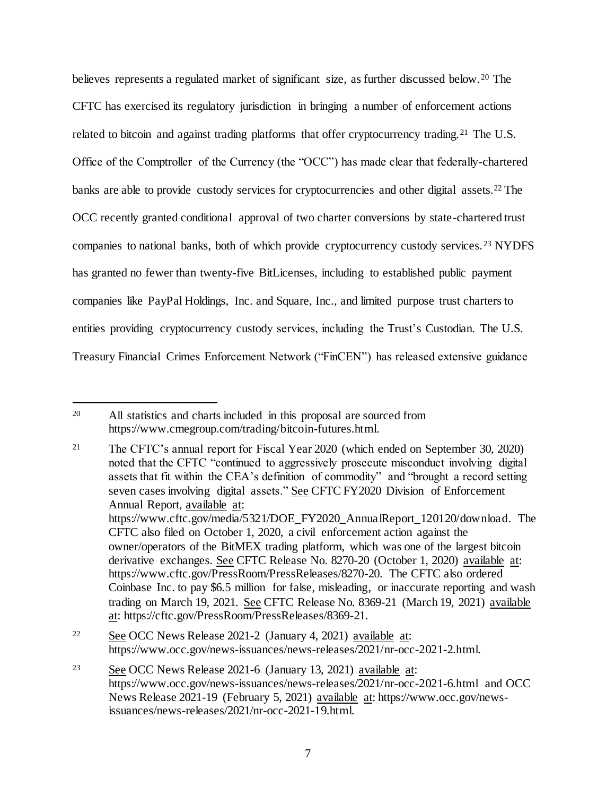believes represents a regulated market of significant size, as further discussed below. <sup>20</sup> The CFTC has exercised its regulatory jurisdiction in bringing a number of enforcement actions related to bitcoin and against trading platforms that offer cryptocurrency trading.<sup>21</sup> The U.S. Office of the Comptroller of the Currency (the "OCC") has made clear that federally-chartered banks are able to provide custody services for cryptocurrencies and other digital assets.<sup>22</sup> The OCC recently granted conditional approval of two charter conversions by state-chartered trust companies to national banks, both of which provide cryptocurrency custody services.<sup>23</sup> NYDFS has granted no fewer than twenty-five BitLicenses, including to established public payment companies like PayPal Holdings, Inc. and Square, Inc., and limited purpose trust charters to entities providing cryptocurrency custody services, including the Trust's Custodian. The U.S. Treasury Financial Crimes Enforcement Network ("FinCEN") has released extensive guidance

<sup>&</sup>lt;sup>20</sup> All statistics and charts included in this proposal are sourced from https://www.cmegroup.com/trading/bitcoin-futures.html.

<sup>21</sup> The CFTC's annual report for Fiscal Year 2020 (which ended on September 30, 2020) noted that the CFTC "continued to aggressively prosecute misconduct involving digital assets that fit within the CEA's definition of commodity" and "brought a record setting seven cases involving digital assets." See CFTC FY2020 Division of Enforcement Annual Report, available at: https://www.cftc.gov/media/5321/DOE\_FY2020\_AnnualReport\_120120/download. The CFTC also filed on October 1, 2020, a civil enforcement action against the owner/operators of the BitMEX trading platform, which was one of the largest bitcoin derivative exchanges. See CFTC Release No. 8270-20 (October 1, 2020) available at: https://www.cftc.gov/PressRoom/PressReleases/8270-20. The CFTC also ordered Coinbase Inc. to pay \$6.5 million for false, misleading, or inaccurate reporting and wash trading on March 19, 2021. See CFTC Release No. 8369-21 (March 19, 2021) available at: https://cftc.gov/PressRoom/PressReleases/8369-21.

<sup>22</sup> See OCC News Release 2021-2 (January 4, 2021) available at: https://www.occ.gov/news-issuances/news-releases/2021/nr-occ-2021-2.html.

<sup>23</sup> See OCC News Release 2021-6 (January 13, 2021) available at: https://www.occ.gov/news-issuances/news-releases/2021/nr-occ-2021-6.html and OCC News Release 2021-19 (February 5, 2021) available at: https://www.occ.gov/newsissuances/news-releases/2021/nr-occ-2021-19.html.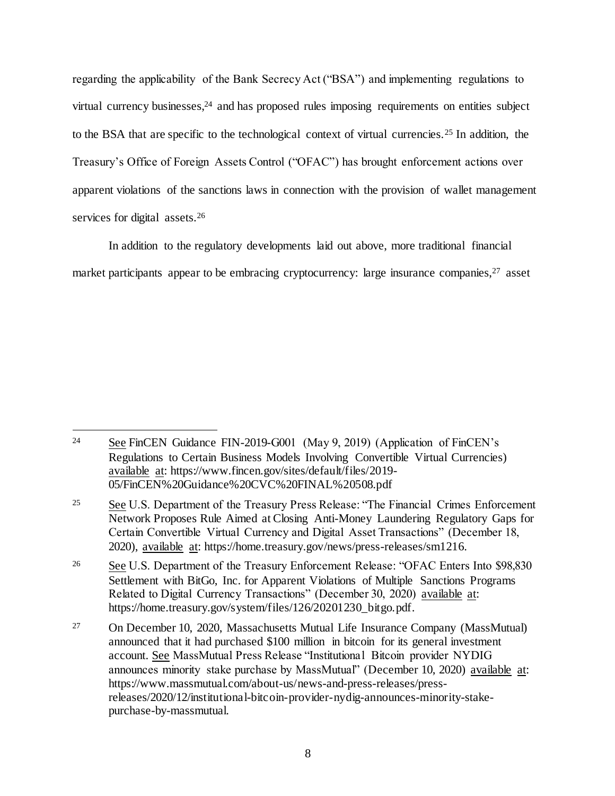regarding the applicability of the Bank Secrecy Act ("BSA") and implementing regulations to virtual currency businesses, $24$  and has proposed rules imposing requirements on entities subject to the BSA that are specific to the technological context of virtual currencies.<sup>25</sup> In addition, the Treasury's Office of Foreign Assets Control ("OFAC") has brought enforcement actions over apparent violations of the sanctions laws in connection with the provision of wallet management services for digital assets.<sup>26</sup>

In addition to the regulatory developments laid out above, more traditional financial market participants appear to be embracing cryptocurrency: large insurance companies, <sup>27</sup> asset

<sup>&</sup>lt;sup>24</sup> See FinCEN Guidance FIN-2019-G001 (May 9, 2019) (Application of FinCEN's Regulations to Certain Business Models Involving Convertible Virtual Currencies) available at: https://www.fincen.gov/sites/default/files/2019- 05/FinCEN%20Guidance%20CVC%20FINAL%20508.pdf

<sup>&</sup>lt;sup>25</sup> See U.S. Department of the Treasury Press Release: "The Financial Crimes Enforcement Network Proposes Rule Aimed at Closing Anti-Money Laundering Regulatory Gaps for Certain Convertible Virtual Currency and Digital Asset Transactions" (December 18, 2020), available at: https://home.treasury.gov/news/press-releases/sm1216.

<sup>&</sup>lt;sup>26</sup> See U.S. Department of the Treasury Enforcement Release: "OFAC Enters Into \$98,830 Settlement with BitGo, Inc. for Apparent Violations of Multiple Sanctions Programs Related to Digital Currency Transactions" (December 30, 2020) available at: https://home.treasury.gov/system/files/126/20201230\_bitgo.pdf.

<sup>27</sup> On December 10, 2020, Massachusetts Mutual Life Insurance Company (MassMutual) announced that it had purchased \$100 million in bitcoin for its general investment account. See MassMutual Press Release "Institutional Bitcoin provider NYDIG announces minority stake purchase by MassMutual" (December 10, 2020) available at: https://www.massmutual.com/about-us/news-and-press-releases/pressreleases/2020/12/institutional-bitcoin-provider-nydig-announces-minority-stakepurchase-by-massmutual.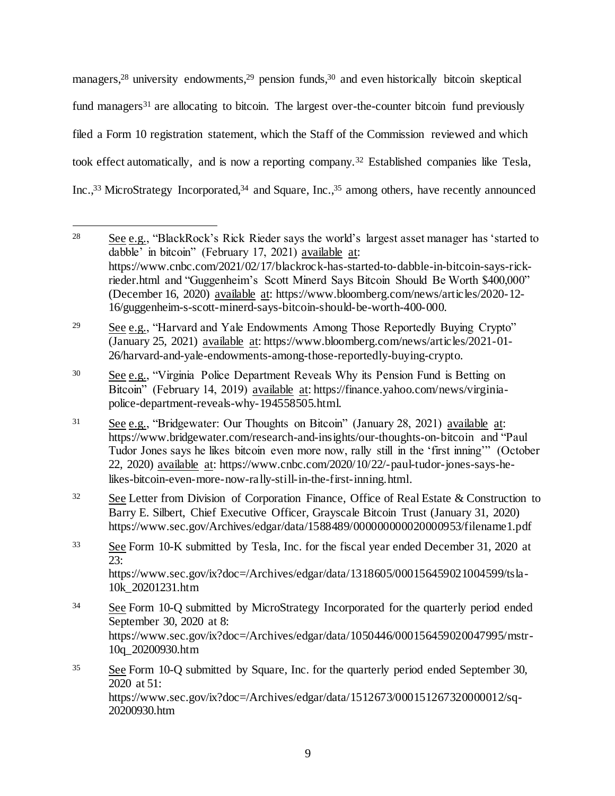managers,<sup>28</sup> university endowments,<sup>29</sup> pension funds,<sup>30</sup> and even historically bitcoin skeptical fund managers<sup>31</sup> are allocating to bitcoin. The largest over-the-counter bitcoin fund previously filed a Form 10 registration statement, which the Staff of the Commission reviewed and which took effect automatically, and is now a reporting company.<sup>32</sup> Established companies like Tesla, Inc.,<sup>33</sup> MicroStrategy Incorporated,<sup>34</sup> and Square, Inc.,<sup>35</sup> among others, have recently announced

<sup>29</sup> See e.g., "Harvard and Yale Endowments Among Those Reportedly Buying Crypto" (January 25, 2021) available at: https://www.bloomberg.com/news/articles/2021-01- 26/harvard-and-yale-endowments-among-those-reportedly-buying-crypto.

<sup>30</sup> See e.g., "Virginia Police Department Reveals Why its Pension Fund is Betting on Bitcoin" (February 14, 2019) available at: https://finance.yahoo.com/news/virginiapolice-department-reveals-why-194558505.html.

<sup>31</sup> See e.g., "Bridgewater: Our Thoughts on Bitcoin" (January 28, 2021) available at: https://www.bridgewater.com/research-and-insights/our-thoughts-on-bitcoin and "Paul Tudor Jones says he likes bitcoin even more now, rally still in the 'first inning'" (October 22, 2020) available at: https://www.cnbc.com/2020/10/22/-paul-tudor-jones-says-helikes-bitcoin-even-more-now-rally-still-in-the-first-inning.html.

- <sup>32</sup> See Letter from Division of Corporation Finance, Office of Real Estate  $\&$  Construction to Barry E. Silbert, Chief Executive Officer, Grayscale Bitcoin Trust (January 31, 2020) https://www.sec.gov/Archives/edgar/data/1588489/000000000020000953/filename1.pdf
- <sup>33</sup> See Form 10-K submitted by Tesla, Inc. for the fiscal year ended December 31, 2020 at  $\overline{23}$ :

https://www.sec.gov/ix?doc=/Archives/edgar/data/1318605/000156459021004599/tsla-10k\_20201231.htm

- <sup>34</sup> See Form 10-Q submitted by MicroStrategy Incorporated for the quarterly period ended September 30, 2020 at 8: https://www.sec.gov/ix?doc=/Archives/edgar/data/1050446/000156459020047995/mstr-10q\_20200930.htm
- <sup>35</sup> See Form 10-Q submitted by Square, Inc. for the quarterly period ended September 30, 2020 at 51: https://www.sec.gov/ix?doc=/Archives/edgar/data/1512673/000151267320000012/sq-20200930.htm

l <sup>28</sup> See e.g., "BlackRock's Rick Rieder says the world's largest asset manager has 'started to dabble' in bitcoin" (February 17, 2021) available at: https://www.cnbc.com/2021/02/17/blackrock-has-started-to-dabble-in-bitcoin-says-rickrieder.html and "Guggenheim's Scott Minerd Says Bitcoin Should Be Worth \$400,000" (December 16, 2020) available at: https://www.bloomberg.com/news/articles/2020-12- 16/guggenheim-s-scott-minerd-says-bitcoin-should-be-worth-400-000.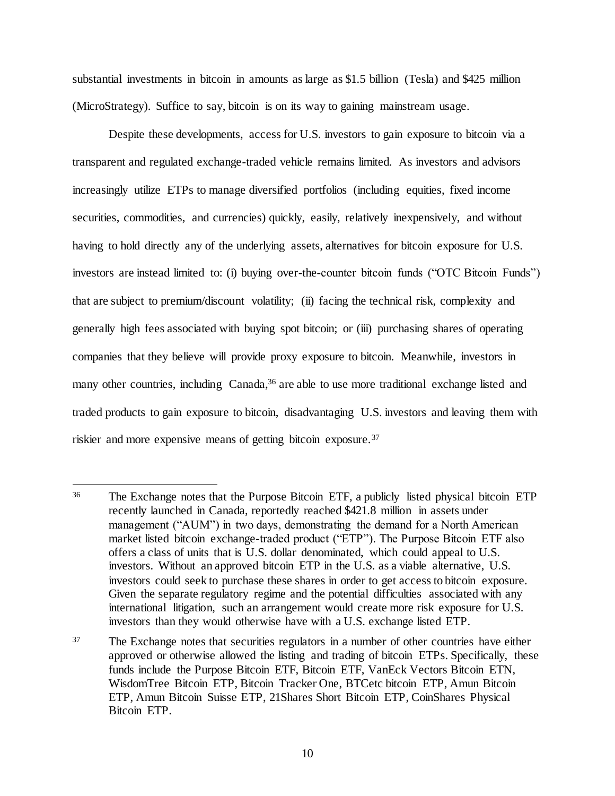substantial investments in bitcoin in amounts as large as \$1.5 billion (Tesla) and \$425 million (MicroStrategy). Suffice to say, bitcoin is on its way to gaining mainstream usage.

Despite these developments, access for U.S. investors to gain exposure to bitcoin via a transparent and regulated exchange-traded vehicle remains limited. As investors and advisors increasingly utilize ETPs to manage diversified portfolios (including equities, fixed income securities, commodities, and currencies) quickly, easily, relatively inexpensively, and without having to hold directly any of the underlying assets, alternatives for bitcoin exposure for U.S. investors are instead limited to: (i) buying over-the-counter bitcoin funds ("OTC Bitcoin Funds") that are subject to premium/discount volatility; (ii) facing the technical risk, complexity and generally high fees associated with buying spot bitcoin; or (iii) purchasing shares of operating companies that they believe will provide proxy exposure to bitcoin. Meanwhile, investors in many other countries, including Canada,<sup>36</sup> are able to use more traditional exchange listed and traded products to gain exposure to bitcoin, disadvantaging U.S. investors and leaving them with riskier and more expensive means of getting bitcoin exposure.<sup>37</sup>

<sup>36</sup> The Exchange notes that the Purpose Bitcoin ETF, a publicly listed physical bitcoin ETP recently launched in Canada, reportedly reached \$421.8 million in assets under management ("AUM") in two days, demonstrating the demand for a North American market listed bitcoin exchange-traded product ("ETP"). The Purpose Bitcoin ETF also offers a class of units that is U.S. dollar denominated, which could appeal to U.S. investors. Without an approved bitcoin ETP in the U.S. as a viable alternative, U.S. investors could seek to purchase these shares in order to get access to bitcoin exposure. Given the separate regulatory regime and the potential difficulties associated with any international litigation, such an arrangement would create more risk exposure for U.S. investors than they would otherwise have with a U.S. exchange listed ETP.

<sup>&</sup>lt;sup>37</sup> The Exchange notes that securities regulators in a number of other countries have either approved or otherwise allowed the listing and trading of bitcoin ETPs. Specifically, these funds include the Purpose Bitcoin ETF, Bitcoin ETF, VanEck Vectors Bitcoin ETN, WisdomTree Bitcoin ETP, Bitcoin Tracker One, BTCetc bitcoin ETP, Amun Bitcoin ETP, Amun Bitcoin Suisse ETP, 21Shares Short Bitcoin ETP, CoinShares Physical Bitcoin ETP.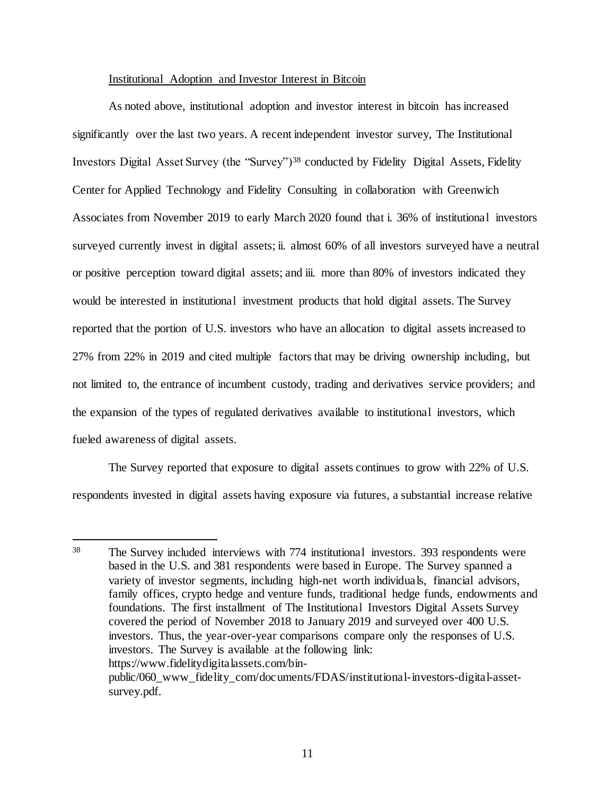### Institutional Adoption and Investor Interest in Bitcoin

As noted above, institutional adoption and investor interest in bitcoin has increased significantly over the last two years. A recent independent investor survey, The Institutional Investors Digital Asset Survey (the "Survey")<sup>38</sup> conducted by Fidelity Digital Assets, Fidelity Center for Applied Technology and Fidelity Consulting in collaboration with Greenwich Associates from November 2019 to early March 2020 found that i. 36% of institutional investors surveyed currently invest in digital assets; ii. almost 60% of all investors surveyed have a neutral or positive perception toward digital assets; and iii. more than 80% of investors indicated they would be interested in institutional investment products that hold digital assets. The Survey reported that the portion of U.S. investors who have an allocation to digital assets increased to 27% from 22% in 2019 and cited multiple factors that may be driving ownership including, but not limited to, the entrance of incumbent custody, trading and derivatives service providers; and the expansion of the types of regulated derivatives available to institutional investors, which fueled awareness of digital assets.

The Survey reported that exposure to digital assets continues to grow with 22% of U.S. respondents invested in digital assets having exposure via futures, a substantial increase relative

<sup>38</sup> The Survey included interviews with 774 institutional investors. 393 respondents were based in the U.S. and 381 respondents were based in Europe. The Survey spanned a variety of investor segments, including high-net worth individuals, financial advisors, family offices, crypto hedge and venture funds, traditional hedge funds, endowments and foundations. The first installment of The Institutional Investors Digital Assets Survey covered the period of November 2018 to January 2019 and surveyed over 400 U.S. investors. Thus, the year-over-year comparisons compare only the responses of U.S. investors. The Survey is available at the following link: https://www.fidelitydigitalassets.com/binpublic/060\_www\_fidelity\_com/documents/FDAS/institutional-investors-digital-assetsurvey.pdf.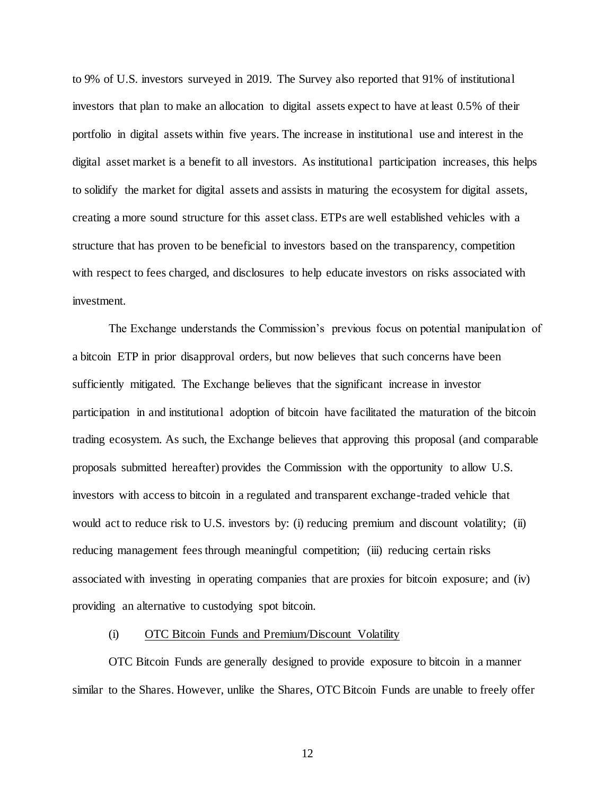to 9% of U.S. investors surveyed in 2019. The Survey also reported that 91% of institutional investors that plan to make an allocation to digital assets expect to have at least 0.5% of their portfolio in digital assets within five years. The increase in institutional use and interest in the digital asset market is a benefit to all investors. As institutional participation increases, this helps to solidify the market for digital assets and assists in maturing the ecosystem for digital assets, creating a more sound structure for this asset class. ETPs are well established vehicles with a structure that has proven to be beneficial to investors based on the transparency, competition with respect to fees charged, and disclosures to help educate investors on risks associated with investment.

The Exchange understands the Commission's previous focus on potential manipulation of a bitcoin ETP in prior disapproval orders, but now believes that such concerns have been sufficiently mitigated. The Exchange believes that the significant increase in investor participation in and institutional adoption of bitcoin have facilitated the maturation of the bitcoin trading ecosystem. As such, the Exchange believes that approving this proposal (and comparable proposals submitted hereafter) provides the Commission with the opportunity to allow U.S. investors with access to bitcoin in a regulated and transparent exchange-traded vehicle that would act to reduce risk to U.S. investors by: (i) reducing premium and discount volatility; (ii) reducing management fees through meaningful competition; (iii) reducing certain risks associated with investing in operating companies that are proxies for bitcoin exposure; and (iv) providing an alternative to custodying spot bitcoin.

#### (i) OTC Bitcoin Funds and Premium/Discount Volatility

OTC Bitcoin Funds are generally designed to provide exposure to bitcoin in a manner similar to the Shares. However, unlike the Shares, OTC Bitcoin Funds are unable to freely offer

12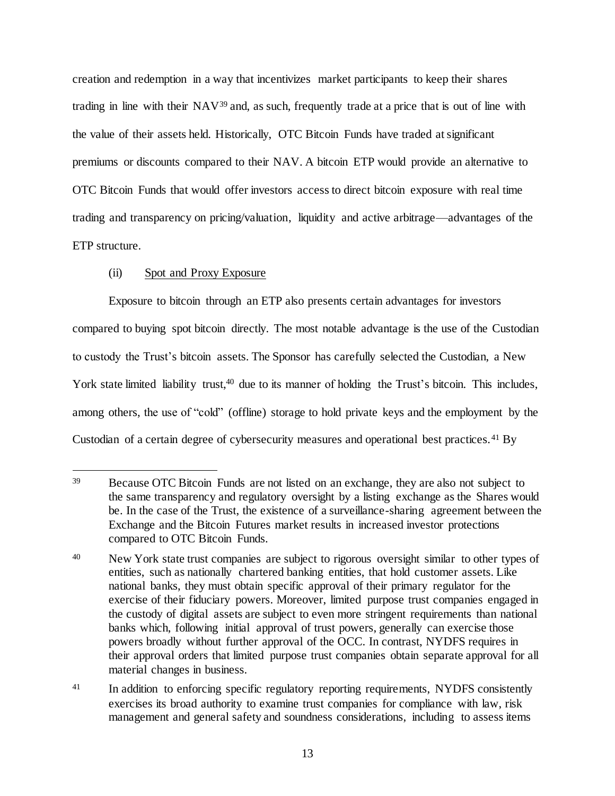creation and redemption in a way that incentivizes market participants to keep their shares trading in line with their NAV<sup>39</sup> and, as such, frequently trade at a price that is out of line with the value of their assets held. Historically, OTC Bitcoin Funds have traded at significant premiums or discounts compared to their NAV. A bitcoin ETP would provide an alternative to OTC Bitcoin Funds that would offer investors access to direct bitcoin exposure with real time trading and transparency on pricing/valuation, liquidity and active arbitrage—advantages of the ETP structure.

# (ii) Spot and Proxy Exposure

Exposure to bitcoin through an ETP also presents certain advantages for investors compared to buying spot bitcoin directly. The most notable advantage is the use of the Custodian to custody the Trust's bitcoin assets. The Sponsor has carefully selected the Custodian, a New York state limited liability trust,<sup>40</sup> due to its manner of holding the Trust's bitcoin. This includes, among others, the use of "cold" (offline) storage to hold private keys and the employment by the Custodian of a certain degree of cybersecurity measures and operational best practices. <sup>41</sup> By

j <sup>39</sup> Because OTC Bitcoin Funds are not listed on an exchange, they are also not subject to the same transparency and regulatory oversight by a listing exchange as the Shares would be. In the case of the Trust, the existence of a surveillance-sharing agreement between the Exchange and the Bitcoin Futures market results in increased investor protections compared to OTC Bitcoin Funds.

<sup>&</sup>lt;sup>40</sup> New York state trust companies are subject to rigorous oversight similar to other types of entities, such as nationally chartered banking entities, that hold customer assets. Like national banks, they must obtain specific approval of their primary regulator for the exercise of their fiduciary powers. Moreover, limited purpose trust companies engaged in the custody of digital assets are subject to even more stringent requirements than national banks which, following initial approval of trust powers, generally can exercise those powers broadly without further approval of the OCC. In contrast, NYDFS requires in their approval orders that limited purpose trust companies obtain separate approval for all material changes in business.

<sup>&</sup>lt;sup>41</sup> In addition to enforcing specific regulatory reporting requirements, NYDFS consistently exercises its broad authority to examine trust companies for compliance with law, risk management and general safety and soundness considerations, including to assess items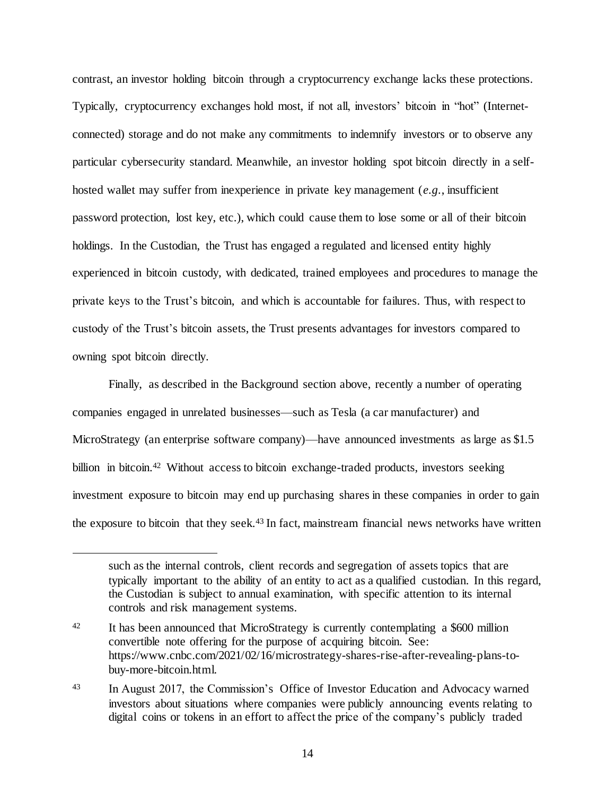contrast, an investor holding bitcoin through a cryptocurrency exchange lacks these protections. Typically, cryptocurrency exchanges hold most, if not all, investors' bitcoin in "hot" (Internetconnected) storage and do not make any commitments to indemnify investors or to observe any particular cybersecurity standard. Meanwhile, an investor holding spot bitcoin directly in a selfhosted wallet may suffer from inexperience in private key management (*e.g.*, insufficient password protection, lost key, etc.), which could cause them to lose some or all of their bitcoin holdings. In the Custodian, the Trust has engaged a regulated and licensed entity highly experienced in bitcoin custody, with dedicated, trained employees and procedures to manage the private keys to the Trust's bitcoin, and which is accountable for failures. Thus, with respect to custody of the Trust's bitcoin assets, the Trust presents advantages for investors compared to owning spot bitcoin directly.

Finally, as described in the Background section above, recently a number of operating companies engaged in unrelated businesses—such as Tesla (a car manufacturer) and MicroStrategy (an enterprise software company)—have announced investments as large as \$1.5 billion in bitcoin.<sup>42</sup> Without access to bitcoin exchange-traded products, investors seeking investment exposure to bitcoin may end up purchasing shares in these companies in order to gain the exposure to bitcoin that they seek.<sup>43</sup> In fact, mainstream financial news networks have written

j

such as the internal controls, client records and segregation of assets topics that are typically important to the ability of an entity to act as a qualified custodian. In this regard, the Custodian is subject to annual examination, with specific attention to its internal controls and risk management systems.

<sup>42</sup> It has been announced that MicroStrategy is currently contemplating a \$600 million convertible note offering for the purpose of acquiring bitcoin. See: https://www.cnbc.com/2021/02/16/microstrategy-shares-rise-after-revealing-plans-tobuy-more-bitcoin.html.

<sup>43</sup> In August 2017, the Commission's Office of Investor Education and Advocacy warned investors about situations where companies were publicly announcing events relating to digital coins or tokens in an effort to affect the price of the company's publicly traded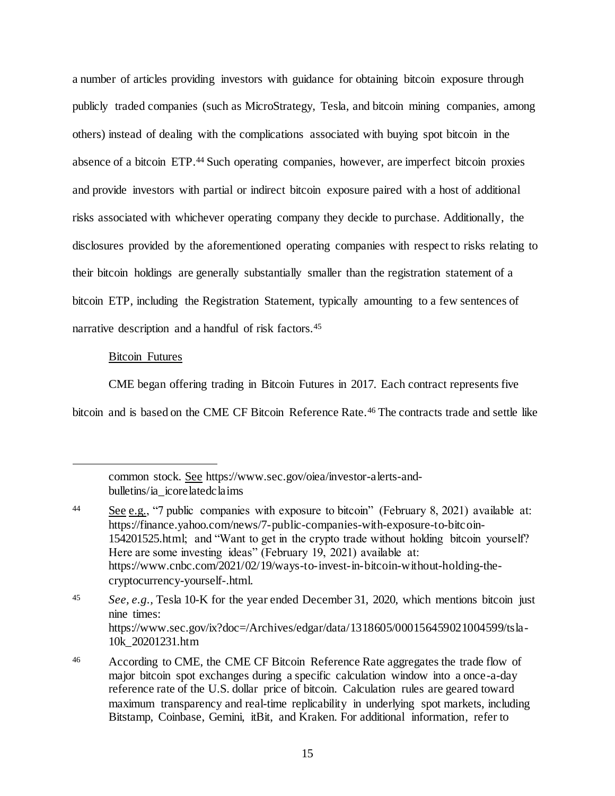a number of articles providing investors with guidance for obtaining bitcoin exposure through publicly traded companies (such as MicroStrategy, Tesla, and bitcoin mining companies, among others) instead of dealing with the complications associated with buying spot bitcoin in the absence of a bitcoin ETP.<sup>44</sup> Such operating companies, however, are imperfect bitcoin proxies and provide investors with partial or indirect bitcoin exposure paired with a host of additional risks associated with whichever operating company they decide to purchase. Additionally, the disclosures provided by the aforementioned operating companies with respect to risks relating to their bitcoin holdings are generally substantially smaller than the registration statement of a bitcoin ETP, including the Registration Statement, typically amounting to a few sentences of narrative description and a handful of risk factors.<sup>45</sup>

### Bitcoin Futures

j

CME began offering trading in Bitcoin Futures in 2017. Each contract represents five

bitcoin and is based on the CME CF Bitcoin Reference Rate.<sup>46</sup> The contracts trade and settle like

common stock. See https://www.sec.gov/oiea/investor-alerts-andbulletins/ia\_icore latedclaims

<sup>44</sup> See e.g., "7 public companies with exposure to bitcoin" (February 8, 2021) available at: https://finance.yahoo.com/news/7-public-companies-with-exposure-to-bitcoin-154201525.html; and "Want to get in the crypto trade without holding bitcoin yourself? Here are some investing ideas" (February 19, 2021) available at: https://www.cnbc.com/2021/02/19/ways-to-invest-in-bitcoin-without-holding-thecryptocurrency-yourself-.html.

<sup>45</sup> *See, e.g.,* Tesla 10-K for the year ended December 31, 2020, which mentions bitcoin just nine times: https://www.sec.gov/ix?doc=/Archives/edgar/data/1318605/000156459021004599/tsla-10k\_20201231.htm

<sup>46</sup> According to CME, the CME CF Bitcoin Reference Rate aggregates the trade flow of major bitcoin spot exchanges during a specific calculation window into a once-a-day reference rate of the U.S. dollar price of bitcoin. Calculation rules are geared toward maximum transparency and real-time replicability in underlying spot markets, including Bitstamp, Coinbase, Gemini, itBit, and Kraken. For additional information, refer to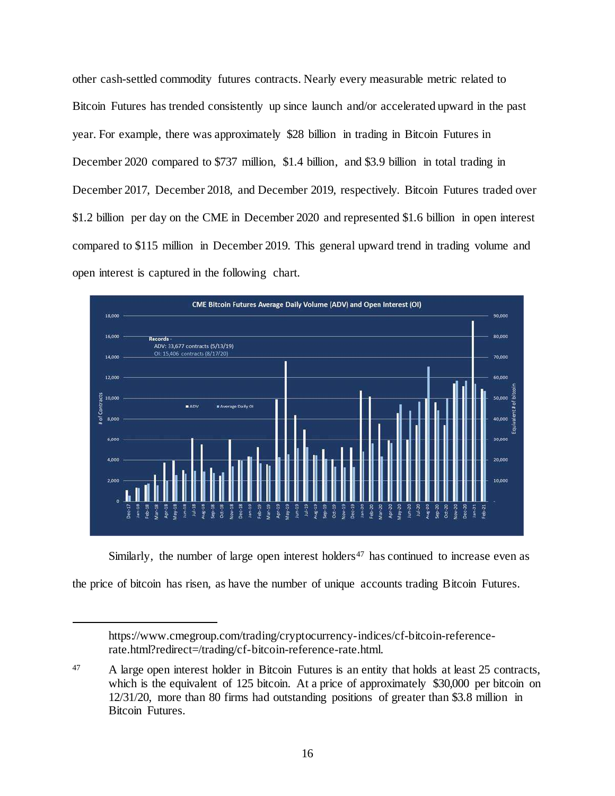other cash-settled commodity futures contracts. Nearly every measurable metric related to Bitcoin Futures has trended consistently up since launch and/or accelerated upward in the past year. For example, there was approximately \$28 billion in trading in Bitcoin Futures in December 2020 compared to \$737 million, \$1.4 billion, and \$3.9 billion in total trading in December 2017, December 2018, and December 2019, respectively. Bitcoin Futures traded over \$1.2 billion per day on the CME in December 2020 and represented \$1.6 billion in open interest compared to \$115 million in December 2019. This general upward trend in trading volume and open interest is captured in the following chart.



Similarly, the number of large open interest holders<sup>47</sup> has continued to increase even as

the price of bitcoin has risen, as have the number of unique accounts trading Bitcoin Futures.

https://www.cmegroup.com/trading/cryptocurrency-indices/cf-bitcoin-referencerate.html?redirect=/trading/cf-bitcoin-reference-rate.html.

<sup>47</sup> A large open interest holder in Bitcoin Futures is an entity that holds at least 25 contracts, which is the equivalent of 125 bitcoin. At a price of approximately \$30,000 per bitcoin on 12/31/20, more than 80 firms had outstanding positions of greater than \$3.8 million in Bitcoin Futures.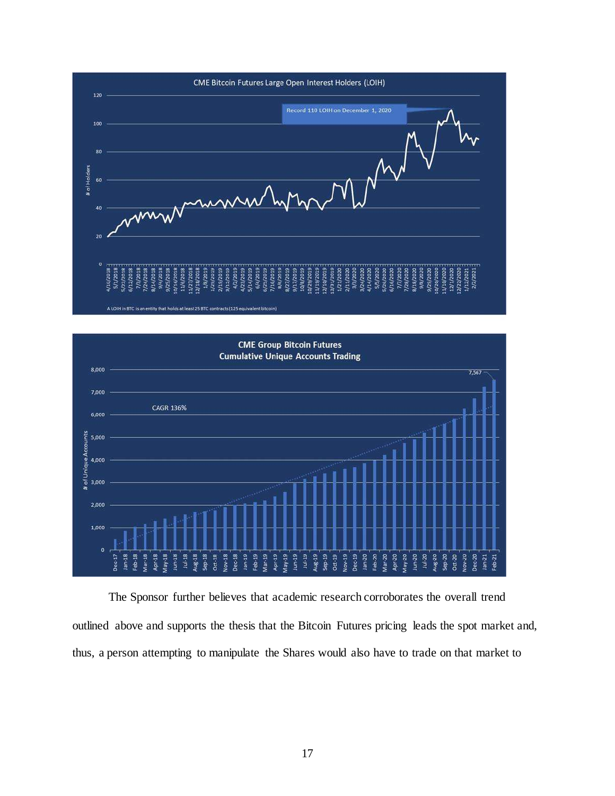



The Sponsor further believes that academic research corroborates the overall trend outlined above and supports the thesis that the Bitcoin Futures pricing leads the spot market and, thus, a person attempting to manipulate the Shares would also have to trade on that market to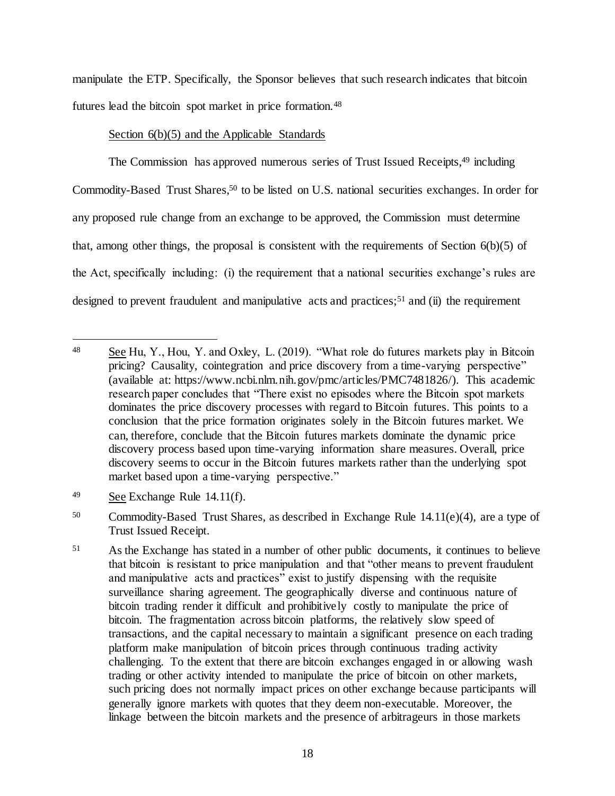manipulate the ETP. Specifically, the Sponsor believes that such research indicates that bitcoin futures lead the bitcoin spot market in price formation.<sup>48</sup>

## Section  $6(b)(5)$  and the Applicable Standards

The Commission has approved numerous series of Trust Issued Receipts,<sup>49</sup> including Commodity-Based Trust Shares,<sup>50</sup> to be listed on U.S. national securities exchanges. In order for any proposed rule change from an exchange to be approved, the Commission must determine that, among other things, the proposal is consistent with the requirements of Section  $6(b)(5)$  of the Act, specifically including: (i) the requirement that a national securities exchange's rules are designed to prevent fraudulent and manipulative acts and practices;<sup>51</sup> and (ii) the requirement

j

<sup>50</sup> Commodity-Based Trust Shares, as described in Exchange Rule 14.11(e)(4), are a type of Trust Issued Receipt.

<sup>48</sup> See Hu, Y., Hou, Y. and Oxley, L. (2019). "What role do futures markets play in Bitcoin pricing? Causality, cointegration and price discovery from a time-varying perspective" (available at: https://www.ncbi.nlm.nih.gov/pmc/articles/PMC7481826/). This academic research paper concludes that "There exist no episodes where the Bitcoin spot markets dominates the price discovery processes with regard to Bitcoin futures. This points to a conclusion that the price formation originates solely in the Bitcoin futures market. We can, therefore, conclude that the Bitcoin futures markets dominate the dynamic price discovery process based upon time-varying information share measures. Overall, price discovery seems to occur in the Bitcoin futures markets rather than the underlying spot market based upon a time-varying perspective."

<sup>49</sup> See Exchange Rule 14.11(f).

<sup>51</sup> As the Exchange has stated in a number of other public documents, it continues to believe that bitcoin is resistant to price manipulation and that "other means to prevent fraudulent and manipulative acts and practices<sup>"</sup> exist to justify dispensing with the requisite surveillance sharing agreement. The geographically diverse and continuous nature of bitcoin trading render it difficult and prohibitively costly to manipulate the price of bitcoin. The fragmentation across bitcoin platforms, the relatively slow speed of transactions, and the capital necessary to maintain a significant presence on each trading platform make manipulation of bitcoin prices through continuous trading activity challenging. To the extent that there are bitcoin exchanges engaged in or allowing wash trading or other activity intended to manipulate the price of bitcoin on other markets, such pricing does not normally impact prices on other exchange because participants will generally ignore markets with quotes that they deem non-executable. Moreover, the linkage between the bitcoin markets and the presence of arbitrageurs in those markets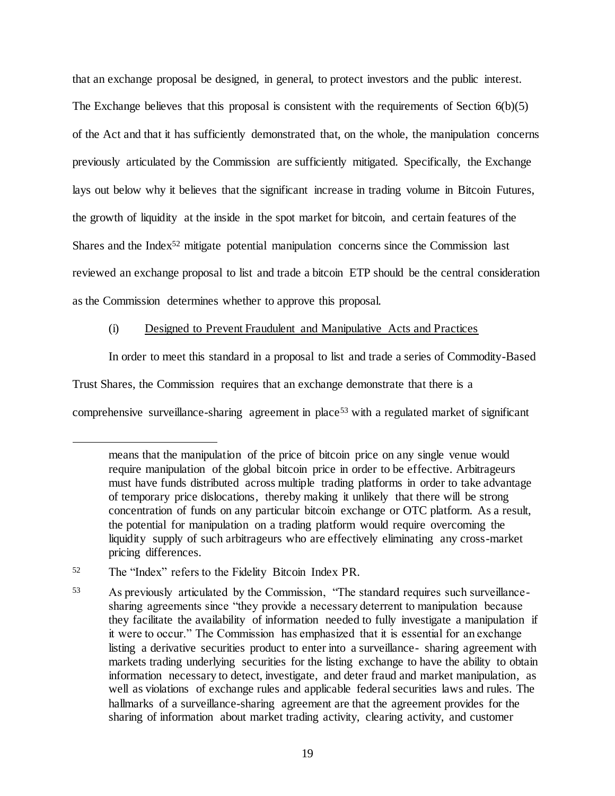that an exchange proposal be designed, in general, to protect investors and the public interest. The Exchange believes that this proposal is consistent with the requirements of Section 6(b)(5) of the Act and that it has sufficiently demonstrated that, on the whole, the manipulation concerns previously articulated by the Commission are sufficiently mitigated. Specifically, the Exchange lays out below why it believes that the significant increase in trading volume in Bitcoin Futures, the growth of liquidity at the inside in the spot market for bitcoin, and certain features of the Shares and the Index<sup>52</sup> mitigate potential manipulation concerns since the Commission last reviewed an exchange proposal to list and trade a bitcoin ETP should be the central consideration as the Commission determines whether to approve this proposal.

## (i) Designed to Prevent Fraudulent and Manipulative Acts and Practices

In order to meet this standard in a proposal to list and trade a series of Commodity-Based

Trust Shares, the Commission requires that an exchange demonstrate that there is a

comprehensive surveillance-sharing agreement in place<sup>53</sup> with a regulated market of significant

means that the manipulation of the price of bitcoin price on any single venue would require manipulation of the global bitcoin price in order to be effective. Arbitrageurs must have funds distributed across multiple trading platforms in order to take advantage of temporary price dislocations, thereby making it unlikely that there will be strong concentration of funds on any particular bitcoin exchange or OTC platform. As a result, the potential for manipulation on a trading platform would require overcoming the liquidity supply of such arbitrageurs who are effectively eliminating any cross-market pricing differences.

<sup>52</sup> The "Index" refers to the Fidelity Bitcoin Index PR.

<sup>53</sup> As previously articulated by the Commission, "The standard requires such surveillancesharing agreements since "they provide a necessary deterrent to manipulation because they facilitate the availability of information needed to fully investigate a manipulation if it were to occur." The Commission has emphasized that it is essential for an exchange listing a derivative securities product to enter into a surveillance- sharing agreement with markets trading underlying securities for the listing exchange to have the ability to obtain information necessary to detect, investigate, and deter fraud and market manipulation, as well as violations of exchange rules and applicable federal securities laws and rules. The hallmarks of a surveillance-sharing agreement are that the agreement provides for the sharing of information about market trading activity, clearing activity, and customer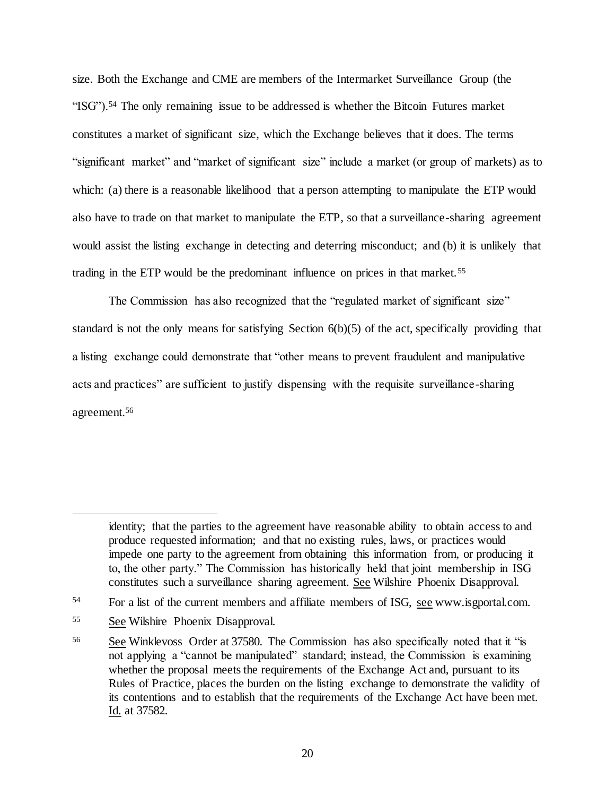size. Both the Exchange and CME are members of the Intermarket Surveillance Group (the "ISG").<sup>54</sup> The only remaining issue to be addressed is whether the Bitcoin Futures market constitutes a market of significant size, which the Exchange believes that it does. The terms "significant market" and "market of significant size" include a market (or group of markets) as to which: (a) there is a reasonable likelihood that a person attempting to manipulate the ETP would also have to trade on that market to manipulate the ETP, so that a surveillance-sharing agreement would assist the listing exchange in detecting and deterring misconduct; and (b) it is unlikely that trading in the ETP would be the predominant influence on prices in that market.<sup>55</sup>

The Commission has also recognized that the "regulated market of significant size" standard is not the only means for satisfying Section 6(b)(5) of the act, specifically providing that a listing exchange could demonstrate that "other means to prevent fraudulent and manipulative acts and practices" are sufficient to justify dispensing with the requisite surveillance-sharing agreement.<sup>56</sup>

identity; that the parties to the agreement have reasonable ability to obtain access to and produce requested information; and that no existing rules, laws, or practices would impede one party to the agreement from obtaining this information from, or producing it to, the other party." The Commission has historically held that joint membership in ISG constitutes such a surveillance sharing agreement. See Wilshire Phoenix Disapproval.

<sup>54</sup> For a list of the current members and affiliate members of ISG, see www.isgportal.com.

<sup>55</sup> See Wilshire Phoenix Disapproval.

<sup>56</sup> See Winklevoss Order at 37580. The Commission has also specifically noted that it "is not applying a "cannot be manipulated" standard; instead, the Commission is examining whether the proposal meets the requirements of the Exchange Act and, pursuant to its Rules of Practice, places the burden on the listing exchange to demonstrate the validity of its contentions and to establish that the requirements of the Exchange Act have been met. Id. at 37582.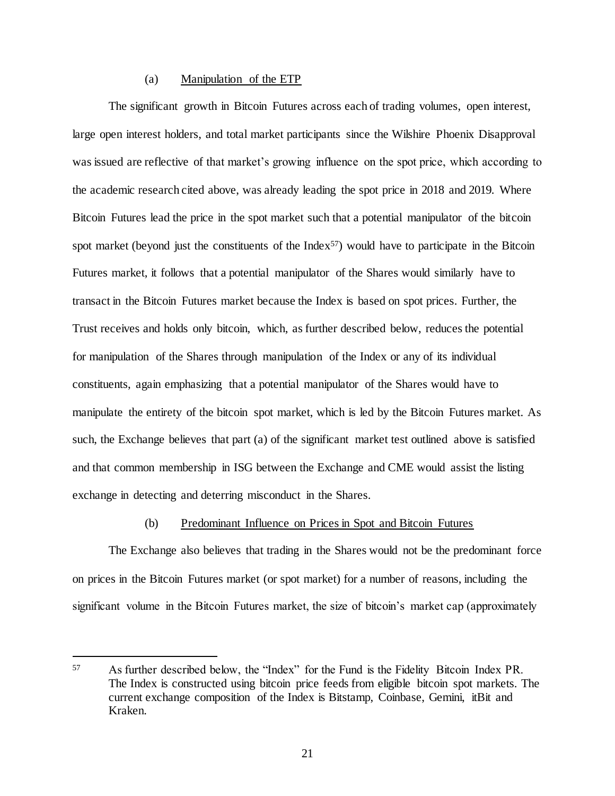## (a) Manipulation of the ETP

The significant growth in Bitcoin Futures across each of trading volumes, open interest, large open interest holders, and total market participants since the Wilshire Phoenix Disapproval was issued are reflective of that market's growing influence on the spot price, which according to the academic research cited above, was already leading the spot price in 2018 and 2019. Where Bitcoin Futures lead the price in the spot market such that a potential manipulator of the bitcoin spot market (beyond just the constituents of the Index<sup>57</sup>) would have to participate in the Bitcoin Futures market, it follows that a potential manipulator of the Shares would similarly have to transact in the Bitcoin Futures market because the Index is based on spot prices. Further, the Trust receives and holds only bitcoin, which, as further described below, reduces the potential for manipulation of the Shares through manipulation of the Index or any of its individual constituents, again emphasizing that a potential manipulator of the Shares would have to manipulate the entirety of the bitcoin spot market, which is led by the Bitcoin Futures market. As such, the Exchange believes that part (a) of the significant market test outlined above is satisfied and that common membership in ISG between the Exchange and CME would assist the listing exchange in detecting and deterring misconduct in the Shares.

#### (b) Predominant Influence on Prices in Spot and Bitcoin Futures

The Exchange also believes that trading in the Shares would not be the predominant force on prices in the Bitcoin Futures market (or spot market) for a number of reasons, including the significant volume in the Bitcoin Futures market, the size of bitcoin's market cap (approximately

<sup>57</sup> As further described below, the "Index" for the Fund is the Fidelity Bitcoin Index PR. The Index is constructed using bitcoin price feeds from eligible bitcoin spot markets. The current exchange composition of the Index is Bitstamp, Coinbase, Gemini, itBit and Kraken.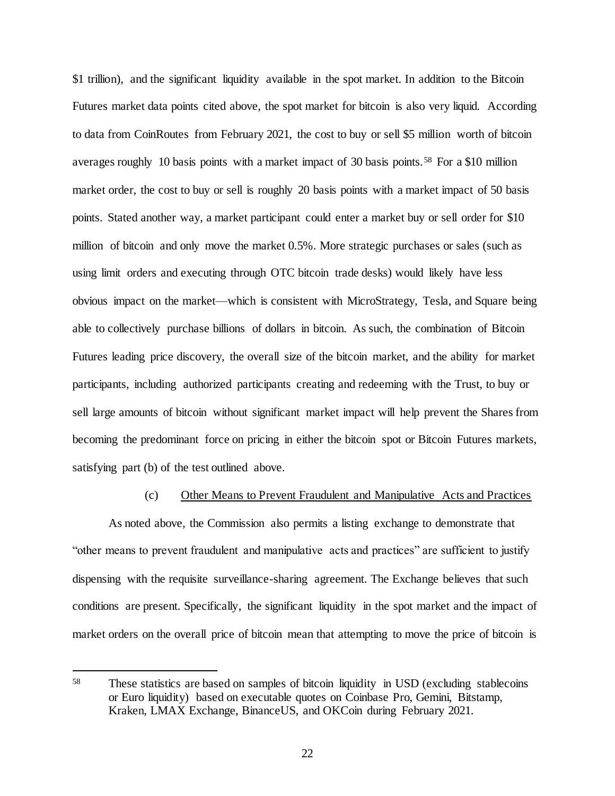\$1 trillion), and the significant liquidity available in the spot market. In addition to the Bitcoin Futures market data points cited above, the spot market for bitcoin is also very liquid. According to data from CoinRoutes from February 2021, the cost to buy or sell \$5 million worth of bitcoin averages roughly 10 basis points with a market impact of 30 basis points.<sup>58</sup> For a \$10 million market order, the cost to buy or sell is roughly 20 basis points with a market impact of 50 basis points. Stated another way, a market participant could enter a market buy or sell order for \$10 million of bitcoin and only move the market 0.5%. More strategic purchases or sales (such as using limit orders and executing through OTC bitcoin trade desks) would likely have less obvious impact on the market—which is consistent with MicroStrategy, Tesla, and Square being able to collectively purchase billions of dollars in bitcoin. As such, the combination of Bitcoin Futures leading price discovery, the overall size of the bitcoin market, and the ability for market participants, including authorized participants creating and redeeming with the Trust, to buy or sell large amounts of bitcoin without significant market impact will help prevent the Shares from becoming the predominant force on pricing in either the bitcoin spot or Bitcoin Futures markets, satisfying part (b) of the test outlined above.

#### (c) Other Means to Prevent Fraudulent and Manipulative Acts and Practices

As noted above, the Commission also permits a listing exchange to demonstrate that "other means to prevent fraudulent and manipulative acts and practices" are sufficient to justify dispensing with the requisite surveillance-sharing agreement. The Exchange believes that such conditions are present. Specifically, the significant liquidity in the spot market and the impact of market orders on the overall price of bitcoin mean that attempting to move the price of bitcoin is

<sup>58</sup> These statistics are based on samples of bitcoin liquidity in USD (excluding stablecoins or Euro liquidity) based on executable quotes on Coinbase Pro, Gemini, Bitstamp, Kraken, LMAX Exchange, BinanceUS, and OKCoin during February 2021.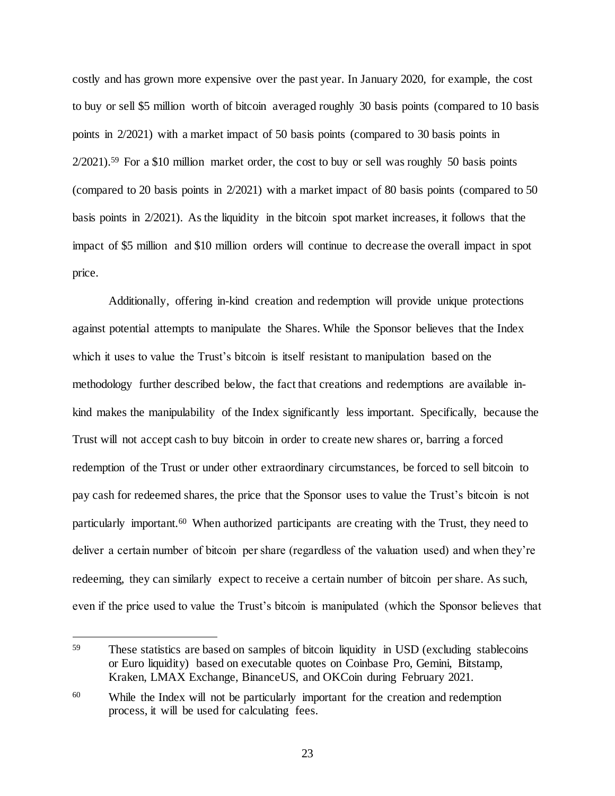costly and has grown more expensive over the past year. In January 2020, for example, the cost to buy or sell \$5 million worth of bitcoin averaged roughly 30 basis points (compared to 10 basis points in 2/2021) with a market impact of 50 basis points (compared to 30 basis points in 2/2021).<sup>59</sup> For a \$10 million market order, the cost to buy or sell was roughly 50 basis points (compared to 20 basis points in 2/2021) with a market impact of 80 basis points (compared to 50 basis points in 2/2021). As the liquidity in the bitcoin spot market increases, it follows that the impact of \$5 million and \$10 million orders will continue to decrease the overall impact in spot price.

Additionally, offering in-kind creation and redemption will provide unique protections against potential attempts to manipulate the Shares. While the Sponsor believes that the Index which it uses to value the Trust's bitcoin is itself resistant to manipulation based on the methodology further described below, the fact that creations and redemptions are available inkind makes the manipulability of the Index significantly less important. Specifically, because the Trust will not accept cash to buy bitcoin in order to create new shares or, barring a forced redemption of the Trust or under other extraordinary circumstances, be forced to sell bitcoin to pay cash for redeemed shares, the price that the Sponsor uses to value the Trust's bitcoin is not particularly important.<sup>60</sup> When authorized participants are creating with the Trust, they need to deliver a certain number of bitcoin per share (regardless of the valuation used) and when they're redeeming, they can similarly expect to receive a certain number of bitcoin per share. As such, even if the price used to value the Trust's bitcoin is manipulated (which the Sponsor believes that

j

<sup>59</sup> These statistics are based on samples of bitcoin liquidity in USD (excluding stablecoins or Euro liquidity) based on executable quotes on Coinbase Pro, Gemini, Bitstamp, Kraken, LMAX Exchange, BinanceUS, and OKCoin during February 2021.

<sup>60</sup> While the Index will not be particularly important for the creation and redemption process, it will be used for calculating fees.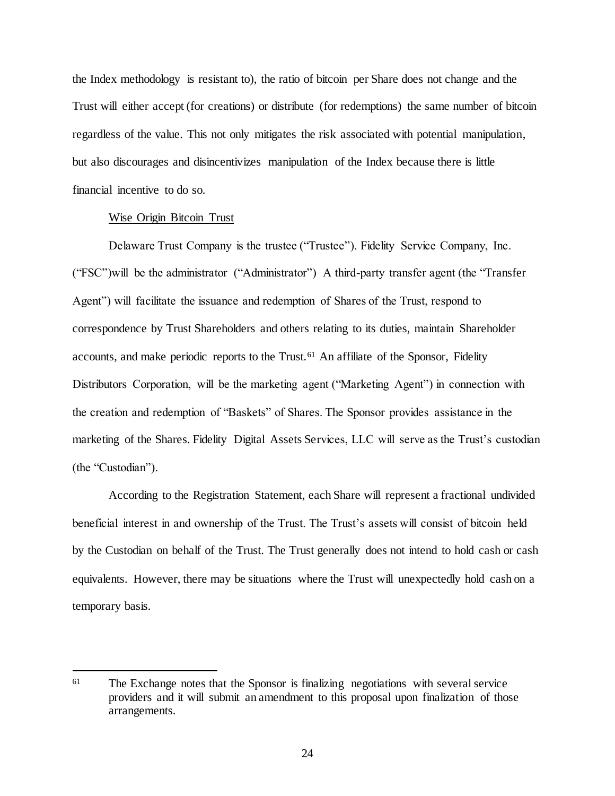the Index methodology is resistant to), the ratio of bitcoin per Share does not change and the Trust will either accept (for creations) or distribute (for redemptions) the same number of bitcoin regardless of the value. This not only mitigates the risk associated with potential manipulation, but also discourages and disincentivizes manipulation of the Index because there is little financial incentive to do so.

#### Wise Origin Bitcoin Trust

l

Delaware Trust Company is the trustee ("Trustee"). Fidelity Service Company, Inc. ("FSC")will be the administrator ("Administrator") A third-party transfer agent (the "Transfer Agent") will facilitate the issuance and redemption of Shares of the Trust, respond to correspondence by Trust Shareholders and others relating to its duties, maintain Shareholder accounts, and make periodic reports to the Trust.<sup>61</sup> An affiliate of the Sponsor, Fidelity Distributors Corporation, will be the marketing agent ("Marketing Agent") in connection with the creation and redemption of "Baskets" of Shares. The Sponsor provides assistance in the marketing of the Shares. Fidelity Digital Assets Services, LLC will serve as the Trust's custodian (the "Custodian").

According to the Registration Statement, each Share will represent a fractional undivided beneficial interest in and ownership of the Trust. The Trust's assets will consist of bitcoin held by the Custodian on behalf of the Trust. The Trust generally does not intend to hold cash or cash equivalents. However, there may be situations where the Trust will unexpectedly hold cash on a temporary basis.

<sup>&</sup>lt;sup>61</sup> The Exchange notes that the Sponsor is finalizing negotiations with several service providers and it will submit an amendment to this proposal upon finalization of those arrangements.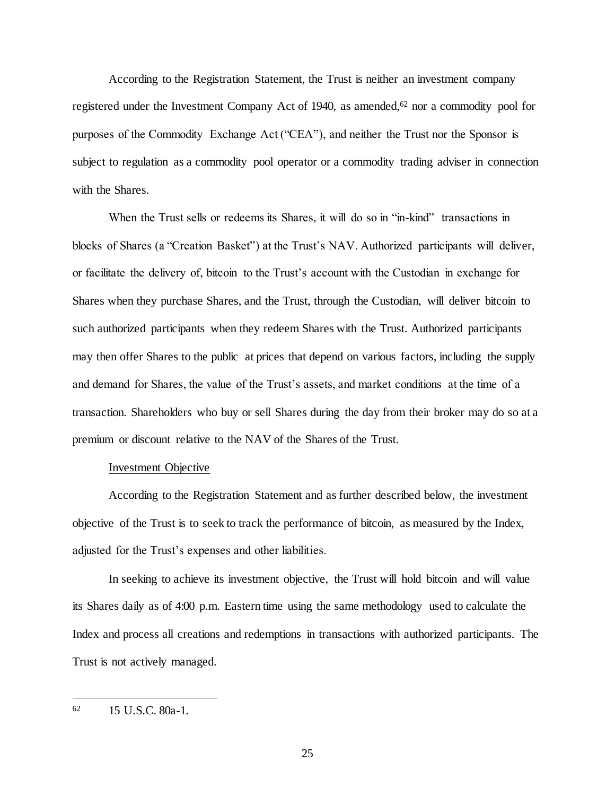According to the Registration Statement, the Trust is neither an investment company registered under the Investment Company Act of 1940, as amended,<sup>62</sup> nor a commodity pool for purposes of the Commodity Exchange Act ("CEA"), and neither the Trust nor the Sponsor is subject to regulation as a commodity pool operator or a commodity trading adviser in connection with the Shares.

When the Trust sells or redeems its Shares, it will do so in "in-kind" transactions in blocks of Shares (a "Creation Basket") at the Trust's NAV. Authorized participants will deliver, or facilitate the delivery of, bitcoin to the Trust's account with the Custodian in exchange for Shares when they purchase Shares, and the Trust, through the Custodian, will deliver bitcoin to such authorized participants when they redeem Shares with the Trust. Authorized participants may then offer Shares to the public at prices that depend on various factors, including the supply and demand for Shares, the value of the Trust's assets, and market conditions at the time of a transaction. Shareholders who buy or sell Shares during the day from their broker may do so at a premium or discount relative to the NAV of the Shares of the Trust.

## Investment Objective

According to the Registration Statement and as further described below, the investment objective of the Trust is to seek to track the performance of bitcoin, as measured by the Index, adjusted for the Trust's expenses and other liabilities.

In seeking to achieve its investment objective, the Trust will hold bitcoin and will value its Shares daily as of 4:00 p.m. Eastern time using the same methodology used to calculate the Index and process all creations and redemptions in transactions with authorized participants. The Trust is not actively managed.

<sup>62</sup> 15 U.S.C. 80a-1.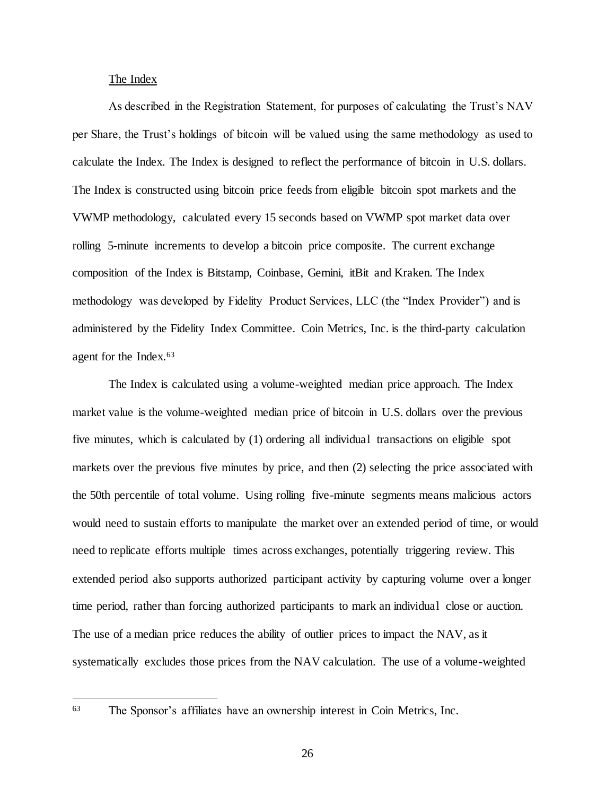#### The Index

As described in the Registration Statement, for purposes of calculating the Trust's NAV per Share, the Trust's holdings of bitcoin will be valued using the same methodology as used to calculate the Index. The Index is designed to reflect the performance of bitcoin in U.S. dollars. The Index is constructed using bitcoin price feeds from eligible bitcoin spot markets and the VWMP methodology, calculated every 15 seconds based on VWMP spot market data over rolling 5-minute increments to develop a bitcoin price composite. The current exchange composition of the Index is Bitstamp, Coinbase, Gemini, itBit and Kraken. The Index methodology was developed by Fidelity Product Services, LLC (the "Index Provider") and is administered by the Fidelity Index Committee. Coin Metrics, Inc. is the third-party calculation agent for the Index.<sup>63</sup>

The Index is calculated using a volume-weighted median price approach. The Index market value is the volume-weighted median price of bitcoin in U.S. dollars over the previous five minutes, which is calculated by (1) ordering all individual transactions on eligible spot markets over the previous five minutes by price, and then (2) selecting the price associated with the 50th percentile of total volume. Using rolling five-minute segments means malicious actors would need to sustain efforts to manipulate the market over an extended period of time, or would need to replicate efforts multiple times across exchanges, potentially triggering review. This extended period also supports authorized participant activity by capturing volume over a longer time period, rather than forcing authorized participants to mark an individual close or auction. The use of a median price reduces the ability of outlier prices to impact the NAV, as it systematically excludes those prices from the NAV calculation. The use of a volume-weighted

<sup>63</sup> The Sponsor's affiliates have an ownership interest in Coin Metrics, Inc.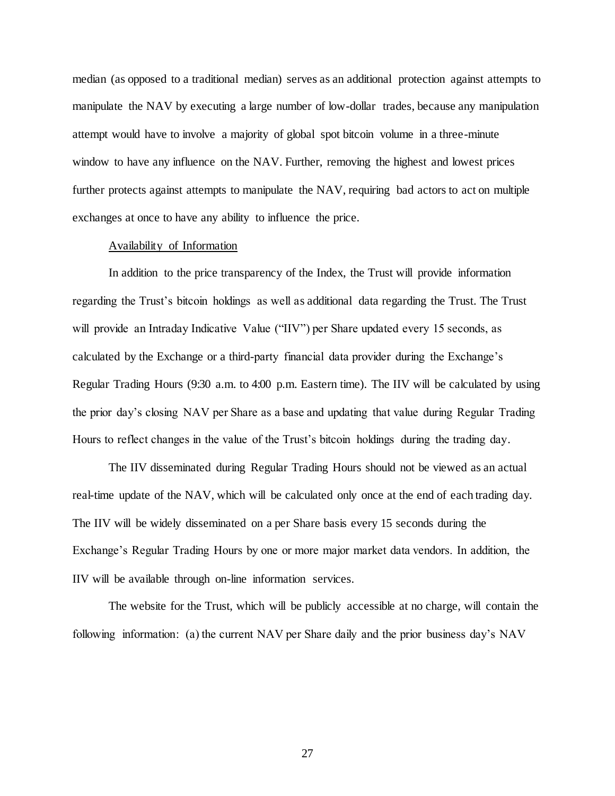median (as opposed to a traditional median) serves as an additional protection against attempts to manipulate the NAV by executing a large number of low-dollar trades, because any manipulation attempt would have to involve a majority of global spot bitcoin volume in a three-minute window to have any influence on the NAV. Further, removing the highest and lowest prices further protects against attempts to manipulate the NAV, requiring bad actors to act on multiple exchanges at once to have any ability to influence the price.

### Availability of Information

In addition to the price transparency of the Index, the Trust will provide information regarding the Trust's bitcoin holdings as well as additional data regarding the Trust. The Trust will provide an Intraday Indicative Value ("IIV") per Share updated every 15 seconds, as calculated by the Exchange or a third-party financial data provider during the Exchange's Regular Trading Hours (9:30 a.m. to 4:00 p.m. Eastern time). The IIV will be calculated by using the prior day's closing NAV per Share as a base and updating that value during Regular Trading Hours to reflect changes in the value of the Trust's bitcoin holdings during the trading day.

The IIV disseminated during Regular Trading Hours should not be viewed as an actual real-time update of the NAV, which will be calculated only once at the end of each trading day. The IIV will be widely disseminated on a per Share basis every 15 seconds during the Exchange's Regular Trading Hours by one or more major market data vendors. In addition, the IIV will be available through on-line information services.

The website for the Trust, which will be publicly accessible at no charge, will contain the following information: (a) the current NAV per Share daily and the prior business day's NAV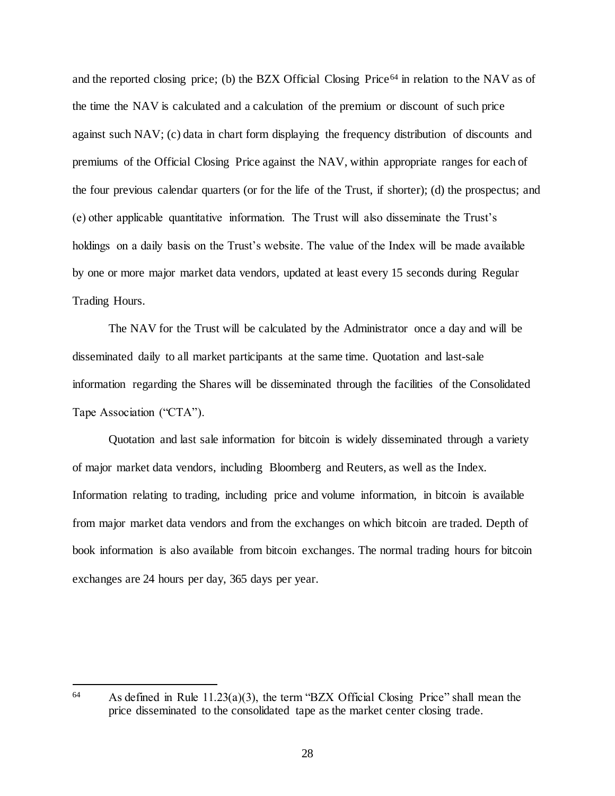and the reported closing price; (b) the BZX Official Closing Price<sup>64</sup> in relation to the NAV as of the time the NAV is calculated and a calculation of the premium or discount of such price against such NAV; (c) data in chart form displaying the frequency distribution of discounts and premiums of the Official Closing Price against the NAV, within appropriate ranges for each of the four previous calendar quarters (or for the life of the Trust, if shorter); (d) the prospectus; and (e) other applicable quantitative information. The Trust will also disseminate the Trust's holdings on a daily basis on the Trust's website. The value of the Index will be made available by one or more major market data vendors, updated at least every 15 seconds during Regular Trading Hours.

The NAV for the Trust will be calculated by the Administrator once a day and will be disseminated daily to all market participants at the same time. Quotation and last-sale information regarding the Shares will be disseminated through the facilities of the Consolidated Tape Association ("CTA").

Quotation and last sale information for bitcoin is widely disseminated through a variety of major market data vendors, including Bloomberg and Reuters, as well as the Index. Information relating to trading, including price and volume information, in bitcoin is available from major market data vendors and from the exchanges on which bitcoin are traded. Depth of book information is also available from bitcoin exchanges. The normal trading hours for bitcoin exchanges are 24 hours per day, 365 days per year.

j

<sup>64</sup> As defined in Rule 11.23(a)(3), the term "BZX Official Closing Price" shall mean the price disseminated to the consolidated tape as the market center closing trade.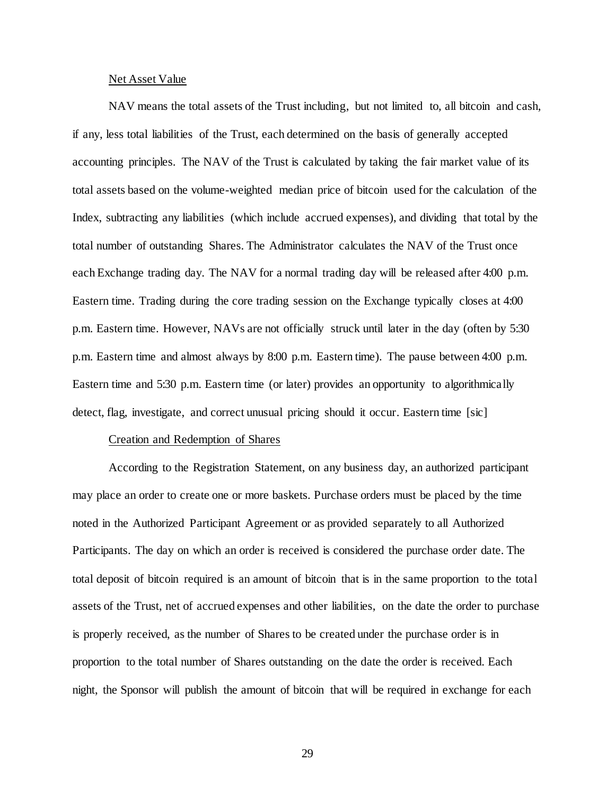#### Net Asset Value

NAV means the total assets of the Trust including, but not limited to, all bitcoin and cash, if any, less total liabilities of the Trust, each determined on the basis of generally accepted accounting principles. The NAV of the Trust is calculated by taking the fair market value of its total assets based on the volume-weighted median price of bitcoin used for the calculation of the Index, subtracting any liabilities (which include accrued expenses), and dividing that total by the total number of outstanding Shares. The Administrator calculates the NAV of the Trust once each Exchange trading day. The NAV for a normal trading day will be released after 4:00 p.m. Eastern time. Trading during the core trading session on the Exchange typically closes at 4:00 p.m. Eastern time. However, NAVs are not officially struck until later in the day (often by 5:30 p.m. Eastern time and almost always by 8:00 p.m. Eastern time). The pause between 4:00 p.m. Eastern time and 5:30 p.m. Eastern time (or later) provides an opportunity to algorithmically detect, flag, investigate, and correct unusual pricing should it occur. Eastern time [sic]

#### Creation and Redemption of Shares

According to the Registration Statement, on any business day, an authorized participant may place an order to create one or more baskets. Purchase orders must be placed by the time noted in the Authorized Participant Agreement or as provided separately to all Authorized Participants. The day on which an order is received is considered the purchase order date. The total deposit of bitcoin required is an amount of bitcoin that is in the same proportion to the total assets of the Trust, net of accrued expenses and other liabilities, on the date the order to purchase is properly received, as the number of Shares to be created under the purchase order is in proportion to the total number of Shares outstanding on the date the order is received. Each night, the Sponsor will publish the amount of bitcoin that will be required in exchange for each

29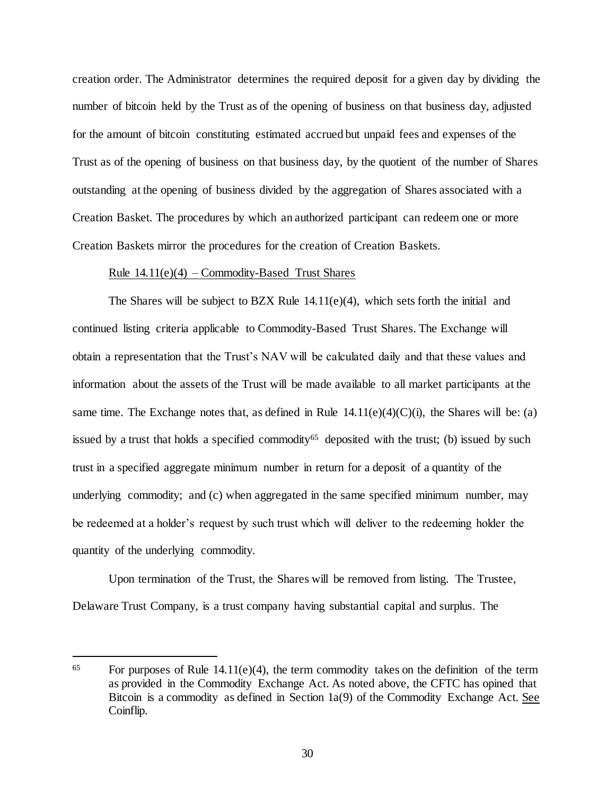creation order. The Administrator determines the required deposit for a given day by dividing the number of bitcoin held by the Trust as of the opening of business on that business day, adjusted for the amount of bitcoin constituting estimated accrued but unpaid fees and expenses of the Trust as of the opening of business on that business day, by the quotient of the number of Shares outstanding at the opening of business divided by the aggregation of Shares associated with a Creation Basket. The procedures by which an authorized participant can redeem one or more Creation Baskets mirror the procedures for the creation of Creation Baskets.

### Rule  $14.11(e)(4)$  – Commodity-Based Trust Shares

The Shares will be subject to BZX Rule  $14.11(e)(4)$ , which sets forth the initial and continued listing criteria applicable to Commodity-Based Trust Shares. The Exchange will obtain a representation that the Trust's NAV will be calculated daily and that these values and information about the assets of the Trust will be made available to all market participants at the same time. The Exchange notes that, as defined in Rule  $14.11(e)(4)(C)(i)$ , the Shares will be: (a) issued by a trust that holds a specified commodity<sup>65</sup> deposited with the trust; (b) issued by such trust in a specified aggregate minimum number in return for a deposit of a quantity of the underlying commodity; and (c) when aggregated in the same specified minimum number, may be redeemed at a holder's request by such trust which will deliver to the redeeming holder the quantity of the underlying commodity.

Upon termination of the Trust, the Shares will be removed from listing. The Trustee, Delaware Trust Company, is a trust company having substantial capital and surplus. The

 $65$  For purposes of Rule 14.11(e)(4), the term commodity takes on the definition of the term as provided in the Commodity Exchange Act. As noted above, the CFTC has opined that Bitcoin is a commodity as defined in Section 1a(9) of the Commodity Exchange Act. See Coinflip.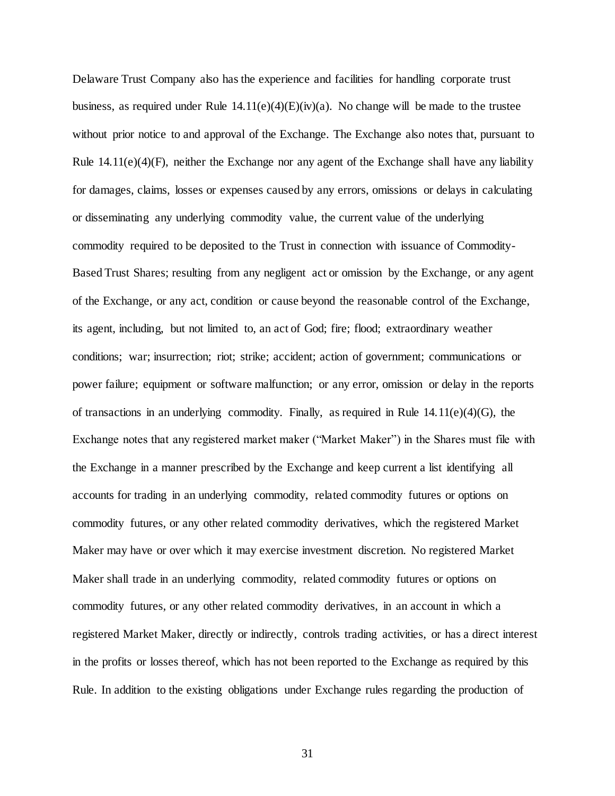Delaware Trust Company also has the experience and facilities for handling corporate trust business, as required under Rule  $14.11(e)(4)(E)(iv)(a)$ . No change will be made to the trustee without prior notice to and approval of the Exchange. The Exchange also notes that, pursuant to Rule 14.11(e)(4)(F), neither the Exchange nor any agent of the Exchange shall have any liability for damages, claims, losses or expenses caused by any errors, omissions or delays in calculating or disseminating any underlying commodity value, the current value of the underlying commodity required to be deposited to the Trust in connection with issuance of Commodity-Based Trust Shares; resulting from any negligent act or omission by the Exchange, or any agent of the Exchange, or any act, condition or cause beyond the reasonable control of the Exchange, its agent, including, but not limited to, an act of God; fire; flood; extraordinary weather conditions; war; insurrection; riot; strike; accident; action of government; communications or power failure; equipment or software malfunction; or any error, omission or delay in the reports of transactions in an underlying commodity. Finally, as required in Rule  $14.11(e)(4)(G)$ , the Exchange notes that any registered market maker ("Market Maker") in the Shares must file with the Exchange in a manner prescribed by the Exchange and keep current a list identifying all accounts for trading in an underlying commodity, related commodity futures or options on commodity futures, or any other related commodity derivatives, which the registered Market Maker may have or over which it may exercise investment discretion. No registered Market Maker shall trade in an underlying commodity, related commodity futures or options on commodity futures, or any other related commodity derivatives, in an account in which a registered Market Maker, directly or indirectly, controls trading activities, or has a direct interest in the profits or losses thereof, which has not been reported to the Exchange as required by this Rule. In addition to the existing obligations under Exchange rules regarding the production of

31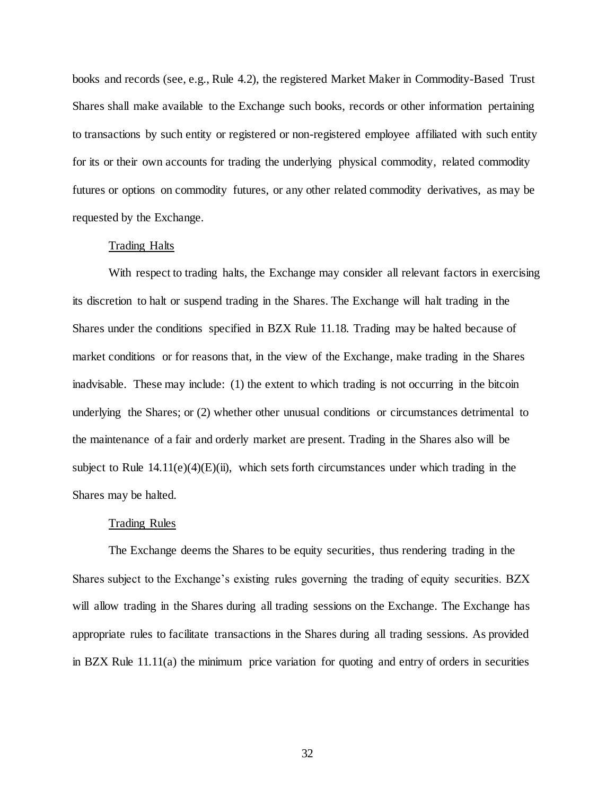books and records (see, e.g., Rule 4.2), the registered Market Maker in Commodity-Based Trust Shares shall make available to the Exchange such books, records or other information pertaining to transactions by such entity or registered or non-registered employee affiliated with such entity for its or their own accounts for trading the underlying physical commodity, related commodity futures or options on commodity futures, or any other related commodity derivatives, as may be requested by the Exchange.

## Trading Halts

With respect to trading halts, the Exchange may consider all relevant factors in exercising its discretion to halt or suspend trading in the Shares. The Exchange will halt trading in the Shares under the conditions specified in BZX Rule 11.18. Trading may be halted because of market conditions or for reasons that, in the view of the Exchange, make trading in the Shares inadvisable. These may include: (1) the extent to which trading is not occurring in the bitcoin underlying the Shares; or (2) whether other unusual conditions or circumstances detrimental to the maintenance of a fair and orderly market are present. Trading in the Shares also will be subject to Rule  $14.11(e)(4)(E)(ii)$ , which sets forth circumstances under which trading in the Shares may be halted.

#### Trading Rules

The Exchange deems the Shares to be equity securities, thus rendering trading in the Shares subject to the Exchange's existing rules governing the trading of equity securities. BZX will allow trading in the Shares during all trading sessions on the Exchange. The Exchange has appropriate rules to facilitate transactions in the Shares during all trading sessions. As provided in BZX Rule 11.11(a) the minimum price variation for quoting and entry of orders in securities

32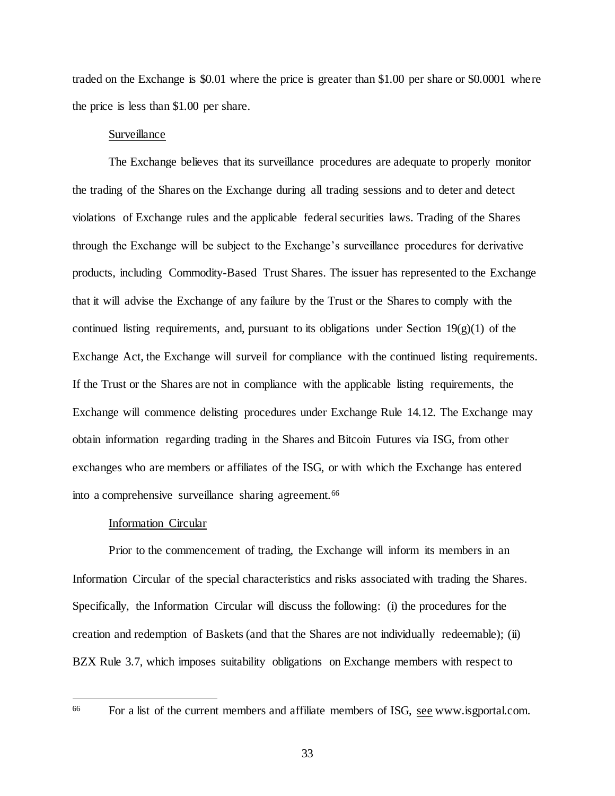traded on the Exchange is \$0.01 where the price is greater than \$1.00 per share or \$0.0001 where the price is less than \$1.00 per share.

## Surveillance

The Exchange believes that its surveillance procedures are adequate to properly monitor the trading of the Shares on the Exchange during all trading sessions and to deter and detect violations of Exchange rules and the applicable federal securities laws. Trading of the Shares through the Exchange will be subject to the Exchange's surveillance procedures for derivative products, including Commodity-Based Trust Shares. The issuer has represented to the Exchange that it will advise the Exchange of any failure by the Trust or the Shares to comply with the continued listing requirements, and, pursuant to its obligations under Section  $19(g)(1)$  of the Exchange Act, the Exchange will surveil for compliance with the continued listing requirements. If the Trust or the Shares are not in compliance with the applicable listing requirements, the Exchange will commence delisting procedures under Exchange Rule 14.12. The Exchange may obtain information regarding trading in the Shares and Bitcoin Futures via ISG, from other exchanges who are members or affiliates of the ISG, or with which the Exchange has entered into a comprehensive surveillance sharing agreement.<sup>66</sup>

#### Information Circular

Prior to the commencement of trading, the Exchange will inform its members in an Information Circular of the special characteristics and risks associated with trading the Shares. Specifically, the Information Circular will discuss the following: (i) the procedures for the creation and redemption of Baskets (and that the Shares are not individually redeemable); (ii) BZX Rule 3.7, which imposes suitability obligations on Exchange members with respect to

<sup>66</sup> For a list of the current members and affiliate members of ISG, see www.isgportal.com.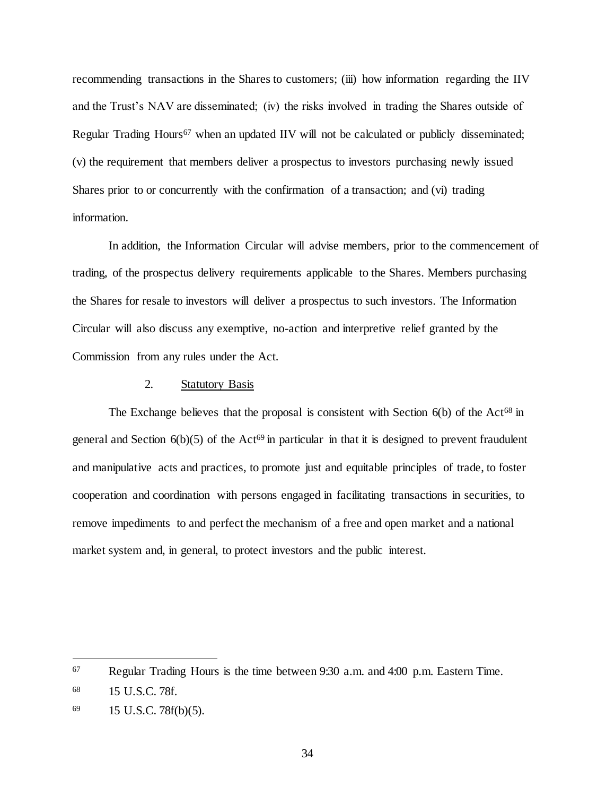recommending transactions in the Shares to customers; (iii) how information regarding the IIV and the Trust's NAV are disseminated; (iv) the risks involved in trading the Shares outside of Regular Trading Hours<sup>67</sup> when an updated IIV will not be calculated or publicly disseminated; (v) the requirement that members deliver a prospectus to investors purchasing newly issued Shares prior to or concurrently with the confirmation of a transaction; and (vi) trading information.

In addition, the Information Circular will advise members, prior to the commencement of trading, of the prospectus delivery requirements applicable to the Shares. Members purchasing the Shares for resale to investors will deliver a prospectus to such investors. The Information Circular will also discuss any exemptive, no-action and interpretive relief granted by the Commission from any rules under the Act.

# 2. Statutory Basis

The Exchange believes that the proposal is consistent with Section  $6(b)$  of the Act<sup>68</sup> in general and Section  $6(b)(5)$  of the Act<sup>69</sup> in particular in that it is designed to prevent fraudulent and manipulative acts and practices, to promote just and equitable principles of trade, to foster cooperation and coordination with persons engaged in facilitating transactions in securities, to remove impediments to and perfect the mechanism of a free and open market and a national market system and, in general, to protect investors and the public interest.

<sup>67</sup> Regular Trading Hours is the time between 9:30 a.m. and 4:00 p.m. Eastern Time.

<sup>68</sup> 15 U.S.C. 78f.

<sup>69</sup> 15 U.S.C. 78f(b)(5).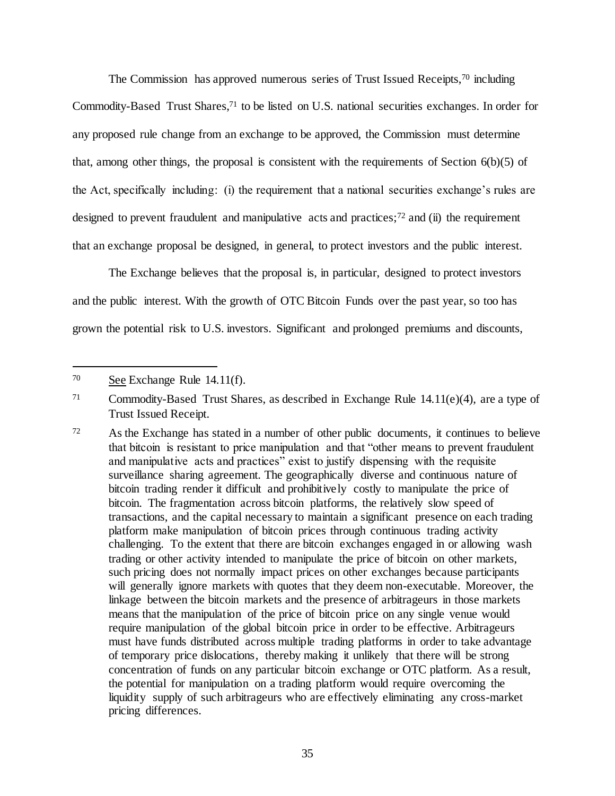The Commission has approved numerous series of Trust Issued Receipts,<sup>70</sup> including Commodity-Based Trust Shares,<sup>71</sup> to be listed on U.S. national securities exchanges. In order for any proposed rule change from an exchange to be approved, the Commission must determine that, among other things, the proposal is consistent with the requirements of Section  $6(b)(5)$  of the Act, specifically including: (i) the requirement that a national securities exchange's rules are designed to prevent fraudulent and manipulative acts and practices; $72$  and (ii) the requirement that an exchange proposal be designed, in general, to protect investors and the public interest.

The Exchange believes that the proposal is, in particular, designed to protect investors and the public interest. With the growth of OTC Bitcoin Funds over the past year, so too has grown the potential risk to U.S. investors. Significant and prolonged premiums and discounts,

<sup>70</sup> See Exchange Rule 14.11(f).

<sup>71</sup> Commodity-Based Trust Shares, as described in Exchange Rule 14.11(e)(4), are a type of Trust Issued Receipt.

<sup>72</sup> As the Exchange has stated in a number of other public documents, it continues to believe that bitcoin is resistant to price manipulation and that "other means to prevent fraudulent and manipulative acts and practices<sup>"</sup> exist to justify dispensing with the requisite surveillance sharing agreement. The geographically diverse and continuous nature of bitcoin trading render it difficult and prohibitively costly to manipulate the price of bitcoin. The fragmentation across bitcoin platforms, the relatively slow speed of transactions, and the capital necessary to maintain a significant presence on each trading platform make manipulation of bitcoin prices through continuous trading activity challenging. To the extent that there are bitcoin exchanges engaged in or allowing wash trading or other activity intended to manipulate the price of bitcoin on other markets, such pricing does not normally impact prices on other exchanges because participants will generally ignore markets with quotes that they deem non-executable. Moreover, the linkage between the bitcoin markets and the presence of arbitrageurs in those markets means that the manipulation of the price of bitcoin price on any single venue would require manipulation of the global bitcoin price in order to be effective. Arbitrageurs must have funds distributed across multiple trading platforms in order to take advantage of temporary price dislocations, thereby making it unlikely that there will be strong concentration of funds on any particular bitcoin exchange or OTC platform. As a result, the potential for manipulation on a trading platform would require overcoming the liquidity supply of such arbitrageurs who are effectively eliminating any cross-market pricing differences.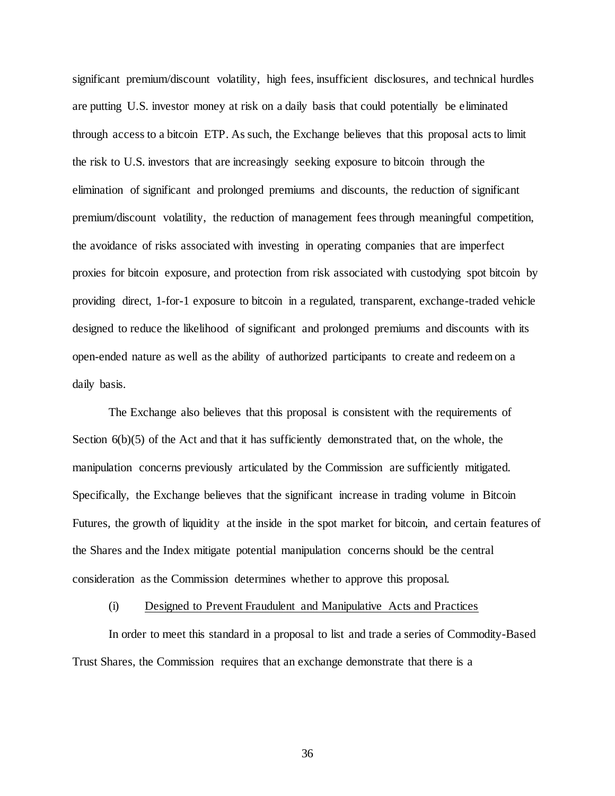significant premium/discount volatility, high fees, insufficient disclosures, and technical hurdles are putting U.S. investor money at risk on a daily basis that could potentially be eliminated through access to a bitcoin ETP. As such, the Exchange believes that this proposal acts to limit the risk to U.S. investors that are increasingly seeking exposure to bitcoin through the elimination of significant and prolonged premiums and discounts, the reduction of significant premium/discount volatility, the reduction of management fees through meaningful competition, the avoidance of risks associated with investing in operating companies that are imperfect proxies for bitcoin exposure, and protection from risk associated with custodying spot bitcoin by providing direct, 1-for-1 exposure to bitcoin in a regulated, transparent, exchange-traded vehicle designed to reduce the likelihood of significant and prolonged premiums and discounts with its open-ended nature as well as the ability of authorized participants to create and redeem on a daily basis.

The Exchange also believes that this proposal is consistent with the requirements of Section  $6(b)(5)$  of the Act and that it has sufficiently demonstrated that, on the whole, the manipulation concerns previously articulated by the Commission are sufficiently mitigated. Specifically, the Exchange believes that the significant increase in trading volume in Bitcoin Futures, the growth of liquidity at the inside in the spot market for bitcoin, and certain features of the Shares and the Index mitigate potential manipulation concerns should be the central consideration as the Commission determines whether to approve this proposal.

## (i) Designed to Prevent Fraudulent and Manipulative Acts and Practices

In order to meet this standard in a proposal to list and trade a series of Commodity-Based Trust Shares, the Commission requires that an exchange demonstrate that there is a

36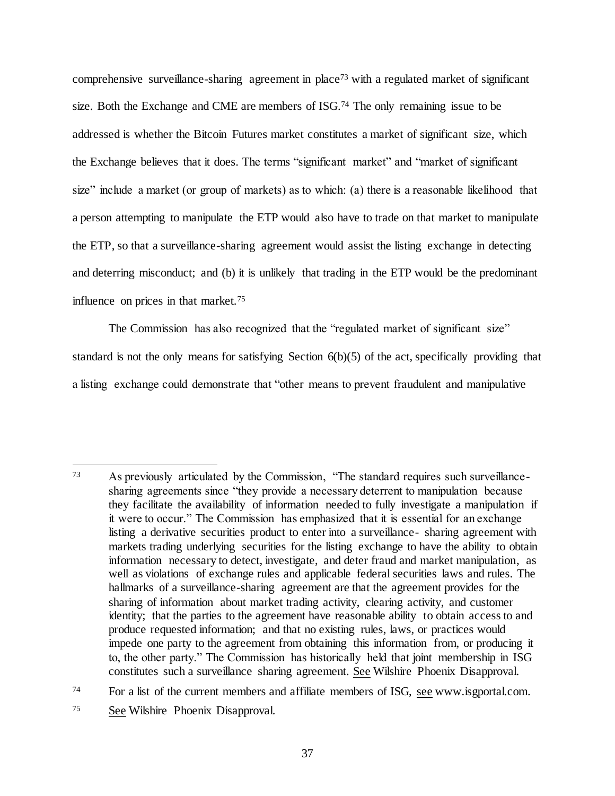comprehensive surveillance-sharing agreement in place<sup>73</sup> with a regulated market of significant size. Both the Exchange and CME are members of ISG.<sup>74</sup> The only remaining issue to be addressed is whether the Bitcoin Futures market constitutes a market of significant size, which the Exchange believes that it does. The terms "significant market" and "market of significant size" include a market (or group of markets) as to which: (a) there is a reasonable likelihood that a person attempting to manipulate the ETP would also have to trade on that market to manipulate the ETP, so that a surveillance-sharing agreement would assist the listing exchange in detecting and deterring misconduct; and (b) it is unlikely that trading in the ETP would be the predominant influence on prices in that market.<sup>75</sup>

The Commission has also recognized that the "regulated market of significant size" standard is not the only means for satisfying Section 6(b)(5) of the act, specifically providing that a listing exchange could demonstrate that "other means to prevent fraudulent and manipulative

<sup>74</sup> For a list of the current members and affiliate members of ISG, see www.isgportal.com.

j

<sup>73</sup> As previously articulated by the Commission, "The standard requires such surveillancesharing agreements since "they provide a necessary deterrent to manipulation because they facilitate the availability of information needed to fully investigate a manipulation if it were to occur." The Commission has emphasized that it is essential for an exchange listing a derivative securities product to enter into a surveillance- sharing agreement with markets trading underlying securities for the listing exchange to have the ability to obtain information necessary to detect, investigate, and deter fraud and market manipulation, as well as violations of exchange rules and applicable federal securities laws and rules. The hallmarks of a surveillance-sharing agreement are that the agreement provides for the sharing of information about market trading activity, clearing activity, and customer identity; that the parties to the agreement have reasonable ability to obtain access to and produce requested information; and that no existing rules, laws, or practices would impede one party to the agreement from obtaining this information from, or producing it to, the other party." The Commission has historically held that joint membership in ISG constitutes such a surveillance sharing agreement. See Wilshire Phoenix Disapproval.

<sup>75</sup> See Wilshire Phoenix Disapproval.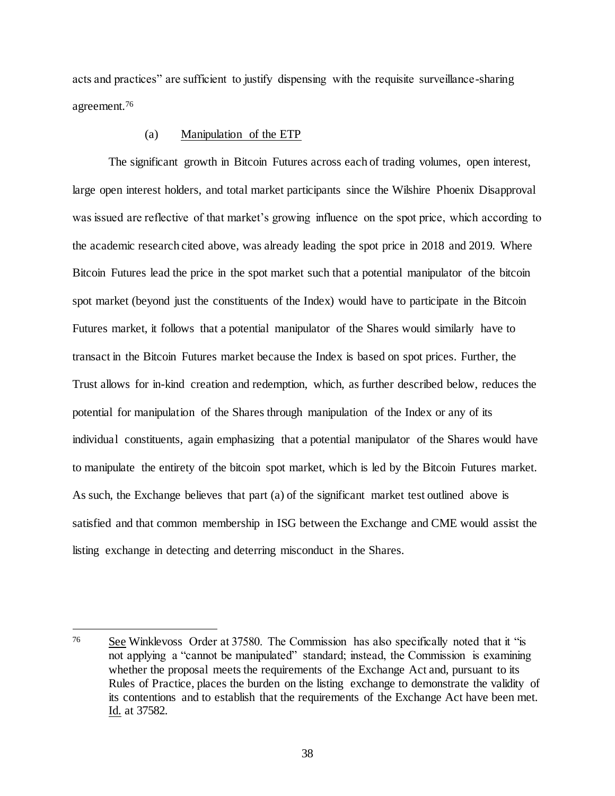acts and practices" are sufficient to justify dispensing with the requisite surveillance-sharing agreement.<sup>76</sup>

## (a) Manipulation of the ETP

The significant growth in Bitcoin Futures across each of trading volumes, open interest, large open interest holders, and total market participants since the Wilshire Phoenix Disapproval was issued are reflective of that market's growing influence on the spot price, which according to the academic research cited above, was already leading the spot price in 2018 and 2019. Where Bitcoin Futures lead the price in the spot market such that a potential manipulator of the bitcoin spot market (beyond just the constituents of the Index) would have to participate in the Bitcoin Futures market, it follows that a potential manipulator of the Shares would similarly have to transact in the Bitcoin Futures market because the Index is based on spot prices. Further, the Trust allows for in-kind creation and redemption, which, as further described below, reduces the potential for manipulation of the Shares through manipulation of the Index or any of its individual constituents, again emphasizing that a potential manipulator of the Shares would have to manipulate the entirety of the bitcoin spot market, which is led by the Bitcoin Futures market. As such, the Exchange believes that part (a) of the significant market test outlined above is satisfied and that common membership in ISG between the Exchange and CME would assist the listing exchange in detecting and deterring misconduct in the Shares.

<sup>76</sup> See Winklevoss Order at 37580. The Commission has also specifically noted that it "is not applying a "cannot be manipulated" standard; instead, the Commission is examining whether the proposal meets the requirements of the Exchange Act and, pursuant to its Rules of Practice, places the burden on the listing exchange to demonstrate the validity of its contentions and to establish that the requirements of the Exchange Act have been met. Id. at 37582.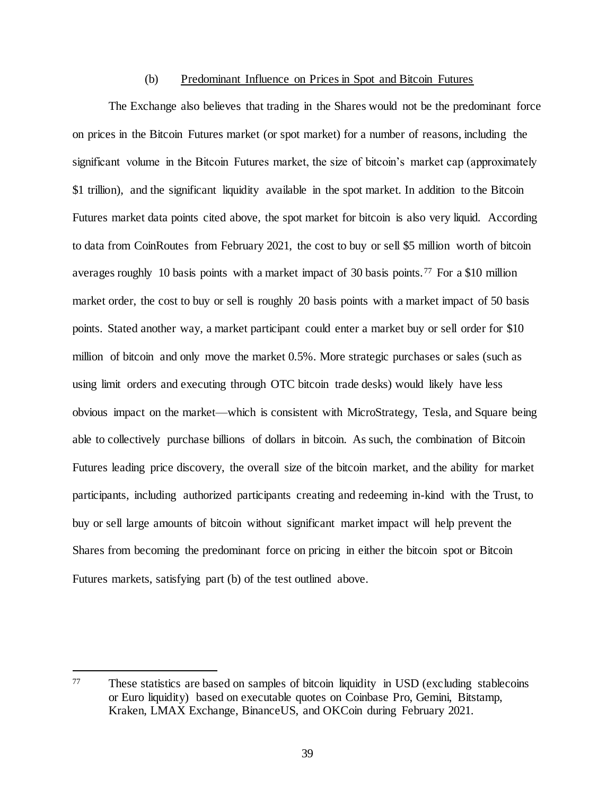#### (b) Predominant Influence on Prices in Spot and Bitcoin Futures

The Exchange also believes that trading in the Shares would not be the predominant force on prices in the Bitcoin Futures market (or spot market) for a number of reasons, including the significant volume in the Bitcoin Futures market, the size of bitcoin's market cap (approximately \$1 trillion), and the significant liquidity available in the spot market. In addition to the Bitcoin Futures market data points cited above, the spot market for bitcoin is also very liquid. According to data from CoinRoutes from February 2021, the cost to buy or sell \$5 million worth of bitcoin averages roughly 10 basis points with a market impact of 30 basis points.<sup>77</sup> For a \$10 million market order, the cost to buy or sell is roughly 20 basis points with a market impact of 50 basis points. Stated another way, a market participant could enter a market buy or sell order for \$10 million of bitcoin and only move the market 0.5%. More strategic purchases or sales (such as using limit orders and executing through OTC bitcoin trade desks) would likely have less obvious impact on the market—which is consistent with MicroStrategy, Tesla, and Square being able to collectively purchase billions of dollars in bitcoin. As such, the combination of Bitcoin Futures leading price discovery, the overall size of the bitcoin market, and the ability for market participants, including authorized participants creating and redeeming in-kind with the Trust, to buy or sell large amounts of bitcoin without significant market impact will help prevent the Shares from becoming the predominant force on pricing in either the bitcoin spot or Bitcoin Futures markets, satisfying part (b) of the test outlined above.

<sup>77</sup> These statistics are based on samples of bitcoin liquidity in USD (excluding stablecoins or Euro liquidity) based on executable quotes on Coinbase Pro, Gemini, Bitstamp, Kraken, LMAX Exchange, BinanceUS, and OKCoin during February 2021.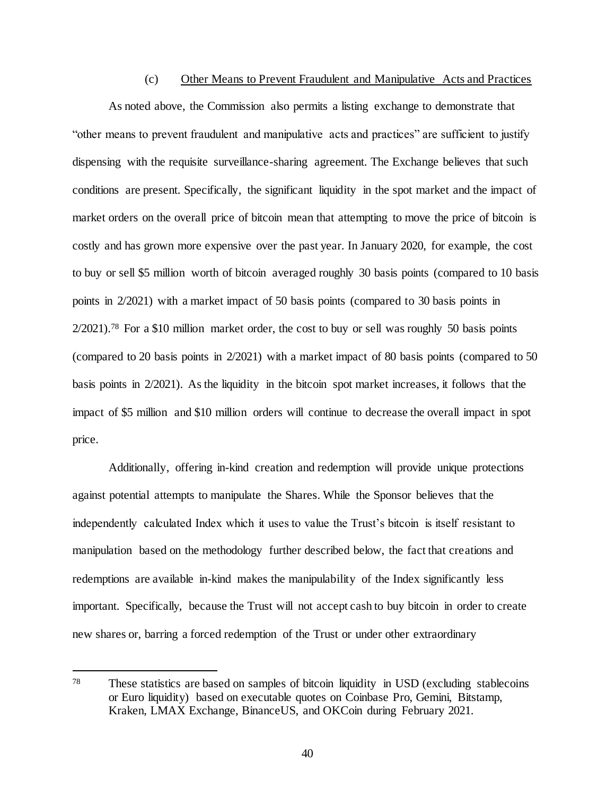### (c) Other Means to Prevent Fraudulent and Manipulative Acts and Practices

As noted above, the Commission also permits a listing exchange to demonstrate that "other means to prevent fraudulent and manipulative acts and practices" are sufficient to justify dispensing with the requisite surveillance-sharing agreement. The Exchange believes that such conditions are present. Specifically, the significant liquidity in the spot market and the impact of market orders on the overall price of bitcoin mean that attempting to move the price of bitcoin is costly and has grown more expensive over the past year. In January 2020, for example, the cost to buy or sell \$5 million worth of bitcoin averaged roughly 30 basis points (compared to 10 basis points in 2/2021) with a market impact of 50 basis points (compared to 30 basis points in  $2/2021$ .<sup>78</sup> For a \$10 million market order, the cost to buy or sell was roughly 50 basis points (compared to 20 basis points in 2/2021) with a market impact of 80 basis points (compared to 50 basis points in 2/2021). As the liquidity in the bitcoin spot market increases, it follows that the impact of \$5 million and \$10 million orders will continue to decrease the overall impact in spot price.

Additionally, offering in-kind creation and redemption will provide unique protections against potential attempts to manipulate the Shares. While the Sponsor believes that the independently calculated Index which it uses to value the Trust's bitcoin is itself resistant to manipulation based on the methodology further described below, the fact that creations and redemptions are available in-kind makes the manipulability of the Index significantly less important. Specifically, because the Trust will not accept cash to buy bitcoin in order to create new shares or, barring a forced redemption of the Trust or under other extraordinary

<sup>78</sup> These statistics are based on samples of bitcoin liquidity in USD (excluding stablecoins or Euro liquidity) based on executable quotes on Coinbase Pro, Gemini, Bitstamp, Kraken, LMAX Exchange, BinanceUS, and OKCoin during February 2021.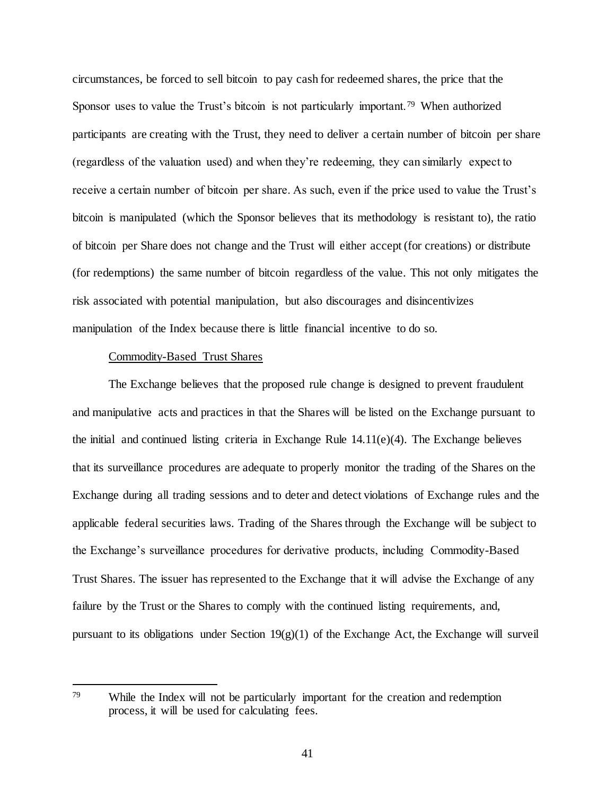circumstances, be forced to sell bitcoin to pay cash for redeemed shares, the price that the Sponsor uses to value the Trust's bitcoin is not particularly important.<sup>79</sup> When authorized participants are creating with the Trust, they need to deliver a certain number of bitcoin per share (regardless of the valuation used) and when they're redeeming, they can similarly expect to receive a certain number of bitcoin per share. As such, even if the price used to value the Trust's bitcoin is manipulated (which the Sponsor believes that its methodology is resistant to), the ratio of bitcoin per Share does not change and the Trust will either accept (for creations) or distribute (for redemptions) the same number of bitcoin regardless of the value. This not only mitigates the risk associated with potential manipulation, but also discourages and disincentivizes manipulation of the Index because there is little financial incentive to do so.

### Commodity-Based Trust Shares

j

The Exchange believes that the proposed rule change is designed to prevent fraudulent and manipulative acts and practices in that the Shares will be listed on the Exchange pursuant to the initial and continued listing criteria in Exchange Rule 14.11(e)(4). The Exchange believes that its surveillance procedures are adequate to properly monitor the trading of the Shares on the Exchange during all trading sessions and to deter and detect violations of Exchange rules and the applicable federal securities laws. Trading of the Shares through the Exchange will be subject to the Exchange's surveillance procedures for derivative products, including Commodity-Based Trust Shares. The issuer has represented to the Exchange that it will advise the Exchange of any failure by the Trust or the Shares to comply with the continued listing requirements, and, pursuant to its obligations under Section 19(g)(1) of the Exchange Act, the Exchange will surveil

<sup>79</sup> While the Index will not be particularly important for the creation and redemption process, it will be used for calculating fees.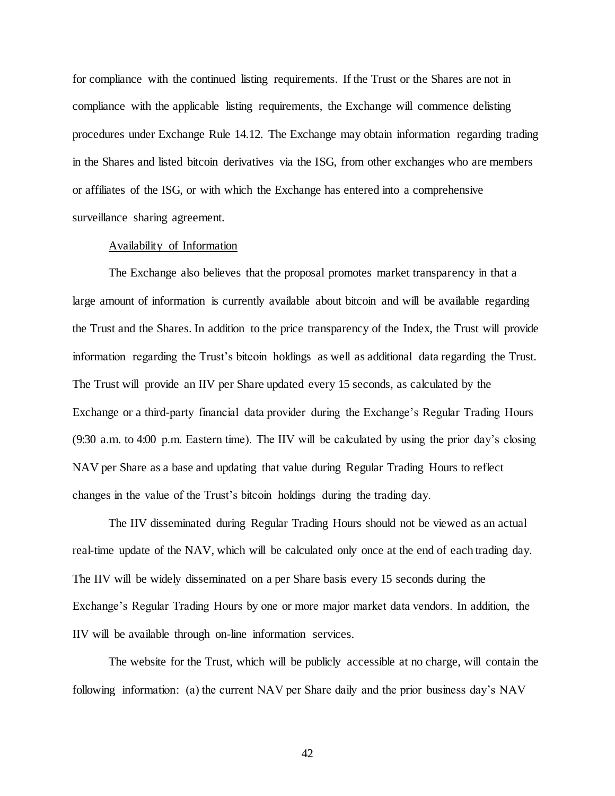for compliance with the continued listing requirements. If the Trust or the Shares are not in compliance with the applicable listing requirements, the Exchange will commence delisting procedures under Exchange Rule 14.12. The Exchange may obtain information regarding trading in the Shares and listed bitcoin derivatives via the ISG, from other exchanges who are members or affiliates of the ISG, or with which the Exchange has entered into a comprehensive surveillance sharing agreement.

### Availability of Information

The Exchange also believes that the proposal promotes market transparency in that a large amount of information is currently available about bitcoin and will be available regarding the Trust and the Shares. In addition to the price transparency of the Index, the Trust will provide information regarding the Trust's bitcoin holdings as well as additional data regarding the Trust. The Trust will provide an IIV per Share updated every 15 seconds, as calculated by the Exchange or a third-party financial data provider during the Exchange's Regular Trading Hours (9:30 a.m. to 4:00 p.m. Eastern time). The IIV will be calculated by using the prior day's closing NAV per Share as a base and updating that value during Regular Trading Hours to reflect changes in the value of the Trust's bitcoin holdings during the trading day.

The IIV disseminated during Regular Trading Hours should not be viewed as an actual real-time update of the NAV, which will be calculated only once at the end of each trading day. The IIV will be widely disseminated on a per Share basis every 15 seconds during the Exchange's Regular Trading Hours by one or more major market data vendors. In addition, the IIV will be available through on-line information services.

The website for the Trust, which will be publicly accessible at no charge, will contain the following information: (a) the current NAV per Share daily and the prior business day's NAV

42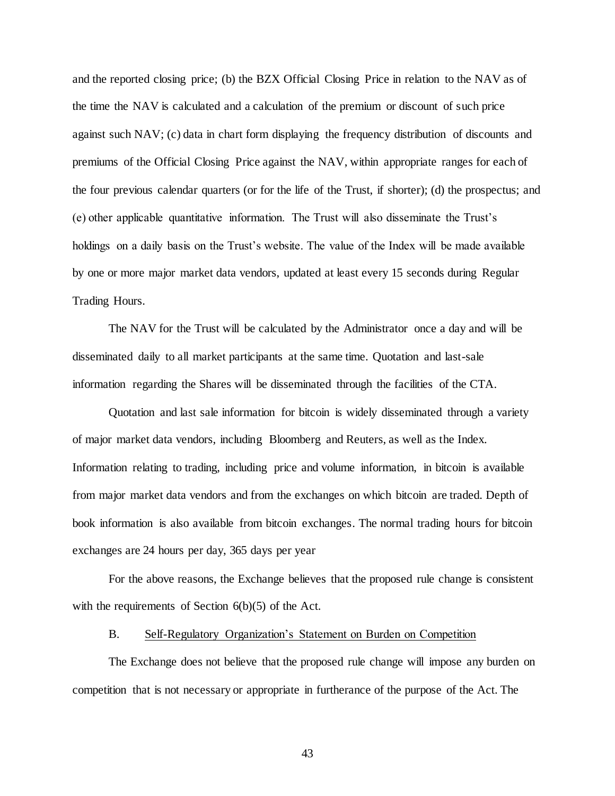and the reported closing price; (b) the BZX Official Closing Price in relation to the NAV as of the time the NAV is calculated and a calculation of the premium or discount of such price against such NAV; (c) data in chart form displaying the frequency distribution of discounts and premiums of the Official Closing Price against the NAV, within appropriate ranges for each of the four previous calendar quarters (or for the life of the Trust, if shorter); (d) the prospectus; and (e) other applicable quantitative information. The Trust will also disseminate the Trust's holdings on a daily basis on the Trust's website. The value of the Index will be made available by one or more major market data vendors, updated at least every 15 seconds during Regular Trading Hours.

The NAV for the Trust will be calculated by the Administrator once a day and will be disseminated daily to all market participants at the same time. Quotation and last-sale information regarding the Shares will be disseminated through the facilities of the CTA.

Quotation and last sale information for bitcoin is widely disseminated through a variety of major market data vendors, including Bloomberg and Reuters, as well as the Index. Information relating to trading, including price and volume information, in bitcoin is available from major market data vendors and from the exchanges on which bitcoin are traded. Depth of book information is also available from bitcoin exchanges. The normal trading hours for bitcoin exchanges are 24 hours per day, 365 days per year

For the above reasons, the Exchange believes that the proposed rule change is consistent with the requirements of Section  $6(b)(5)$  of the Act.

#### B. Self-Regulatory Organization's Statement on Burden on Competition

The Exchange does not believe that the proposed rule change will impose any burden on competition that is not necessary or appropriate in furtherance of the purpose of the Act. The

43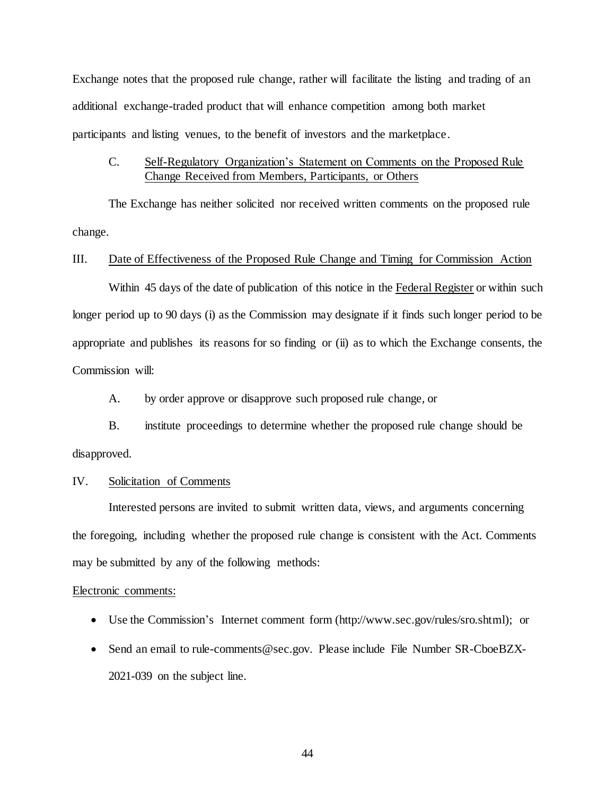Exchange notes that the proposed rule change, rather will facilitate the listing and trading of an additional exchange-traded product that will enhance competition among both market participants and listing venues, to the benefit of investors and the marketplace.

# C. Self-Regulatory Organization's Statement on Comments on the Proposed Rule Change Received from Members, Participants, or Others

The Exchange has neither solicited nor received written comments on the proposed rule change.

### III. Date of Effectiveness of the Proposed Rule Change and Timing for Commission Action

Within 45 days of the date of publication of this notice in the Federal Register or within such longer period up to 90 days (i) as the Commission may designate if it finds such longer period to be appropriate and publishes its reasons for so finding or (ii) as to which the Exchange consents, the Commission will:

A. by order approve or disapprove such proposed rule change, or

B. institute proceedings to determine whether the proposed rule change should be disapproved.

## IV. Solicitation of Comments

Interested persons are invited to submit written data, views, and arguments concerning the foregoing, including whether the proposed rule change is consistent with the Act. Comments may be submitted by any of the following methods:

## Electronic comments:

- Use the Commission's Internet comment form (http://www.sec.gov/rules/sro.shtml); or
- Send an email to rule-comments@sec.gov. Please include File Number SR-CboeBZX-2021-039 on the subject line.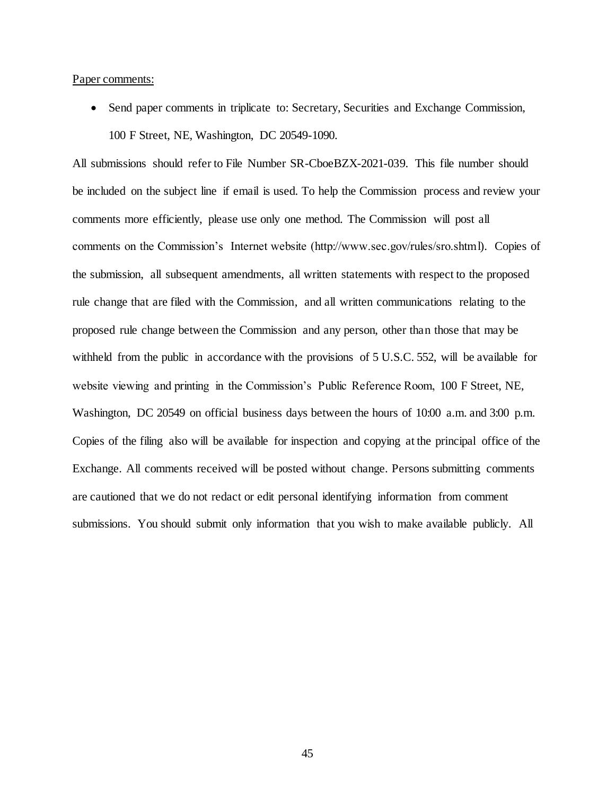#### Paper comments:

 Send paper comments in triplicate to: Secretary, Securities and Exchange Commission, 100 F Street, NE, Washington, DC 20549-1090.

All submissions should refer to File Number SR-CboeBZX-2021-039. This file number should be included on the subject line if email is used. To help the Commission process and review your comments more efficiently, please use only one method. The Commission will post all comments on the Commission's Internet website (http://www.sec.gov/rules/sro.shtml). Copies of the submission, all subsequent amendments, all written statements with respect to the proposed rule change that are filed with the Commission, and all written communications relating to the proposed rule change between the Commission and any person, other than those that may be withheld from the public in accordance with the provisions of 5 U.S.C. 552, will be available for website viewing and printing in the Commission's Public Reference Room, 100 F Street, NE, Washington, DC 20549 on official business days between the hours of 10:00 a.m. and 3:00 p.m. Copies of the filing also will be available for inspection and copying at the principal office of the Exchange. All comments received will be posted without change. Persons submitting comments are cautioned that we do not redact or edit personal identifying information from comment submissions. You should submit only information that you wish to make available publicly. All